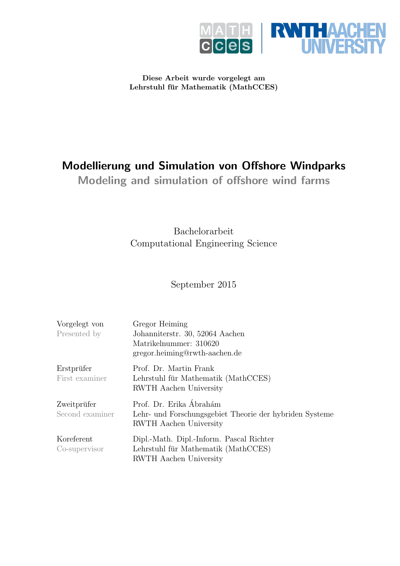

Diese Arbeit wurde vorgelegt am Lehrstuhl für Mathematik (MathCCES)

## Modellierung und Simulation von Offshore Windparks

Modeling and simulation of offshore wind farms

Bachelorarbeit Computational Engineering Science

September 2015

| Vorgelegt von<br>Presented by  | Gregor Heiming<br>Johanniterstr. 30, 52064 Aachen<br>Matrikelnummer: 310620<br>gregor.heiming@rwth-aachen.de        |
|--------------------------------|---------------------------------------------------------------------------------------------------------------------|
| Erstprüfer<br>First examiner   | Prof. Dr. Martin Frank<br>Lehrstuhl für Mathematik (MathCCES)<br><b>RWTH</b> Aachen University                      |
| Zweitprüfer<br>Second examiner | Prof. Dr. Erika Ábrahám<br>Lehr- und Forschungsgebiet Theorie der hybriden Systeme<br><b>RWTH</b> Aachen University |
| Koreferent<br>Co-supervisor    | Dipl.-Math. Dipl.-Inform. Pascal Richter<br>Lehrstuhl für Mathematik (MathCCES)<br><b>RWTH</b> Aachen University    |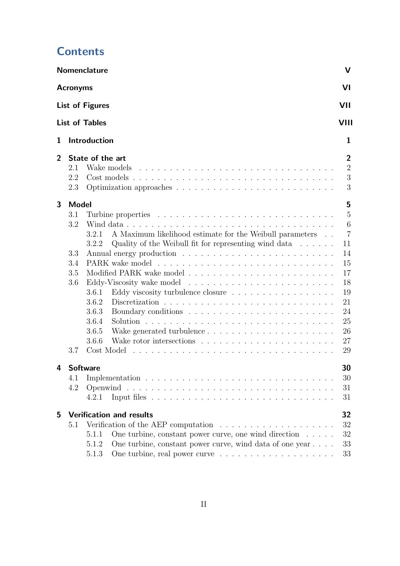|                |                                                        | Nomenclature                                                                                                                                                                                                                                                                 | V                                                                                                            |  |
|----------------|--------------------------------------------------------|------------------------------------------------------------------------------------------------------------------------------------------------------------------------------------------------------------------------------------------------------------------------------|--------------------------------------------------------------------------------------------------------------|--|
|                | <b>Acronyms</b>                                        |                                                                                                                                                                                                                                                                              | VI                                                                                                           |  |
|                | <b>List of Figures</b><br>VII                          |                                                                                                                                                                                                                                                                              |                                                                                                              |  |
|                |                                                        | <b>List of Tables</b>                                                                                                                                                                                                                                                        | VIII                                                                                                         |  |
| 1              |                                                        | Introduction                                                                                                                                                                                                                                                                 | 1                                                                                                            |  |
| $\overline{2}$ | 2.1<br>2.2<br>2.3                                      | State of the art<br>Wake models                                                                                                                                                                                                                                              | $\overline{2}$<br>$\overline{2}$<br>3<br>3                                                                   |  |
| 3              | <b>Model</b><br>3.1<br>3.2<br>3.3<br>3.4<br>3.5<br>3.6 | A Maximum likelihood estimate for the Weibull parameters<br>3.2.1<br>Quality of the Weibull fit for representing wind data $\dots \dots$<br>3.2.2<br>Eddy viscosity turbulence closure<br>3.6.1<br>3.6.2<br>3.6.3<br>3.6.4<br>3.6.5<br>3.6.6                                 | 5<br>$\overline{5}$<br>6<br>$\overline{7}$<br>11<br>14<br>15<br>17<br>18<br>19<br>21<br>24<br>25<br>26<br>27 |  |
| 4              | 3.7<br><b>Software</b><br>4.1<br>4.2                   | Cost Model<br><u>na kara sa sara sa sa</u><br>4.2.1                                                                                                                                                                                                                          | 29<br>30<br>30<br>31<br>31                                                                                   |  |
| 5              | 5.1                                                    | <b>Verification and results</b><br>Verification of the AEP computation $\dots \dots \dots \dots \dots \dots \dots$<br>One turbine, constant power curve, one wind direction $\dots$ .<br>5.1.1<br>One turbine, constant power curve, wind data of one year<br>5.1.2<br>5.1.3 | 32<br>32<br>$32\,$<br>33<br>33                                                                               |  |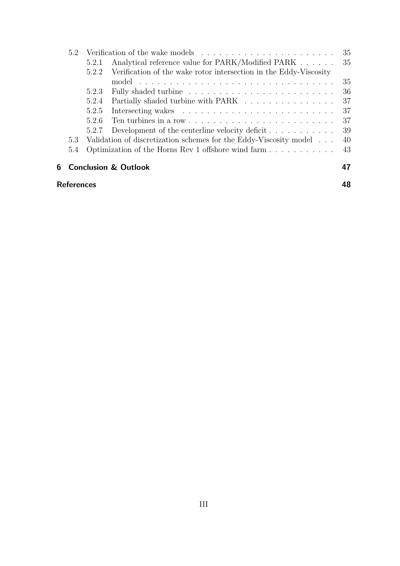|   | 5.2               |       |                                                                       | 35  |
|---|-------------------|-------|-----------------------------------------------------------------------|-----|
|   |                   | 5.2.1 | Analytical reference value for PARK/Modified PARK                     | 35  |
|   |                   | 5.2.2 | Verification of the wake rotor intersection in the Eddy-Viscosity     |     |
|   |                   |       | model                                                                 | 35  |
|   |                   | 5.2.3 |                                                                       | 36  |
|   |                   | 5.2.4 | Partially shaded turbine with PARK                                    | 37  |
|   |                   | 5.2.5 |                                                                       | 37  |
|   |                   | 5.2.6 |                                                                       | 37  |
|   |                   | 5.2.7 | Development of the centerline velocity deficit $\ldots \ldots \ldots$ | -39 |
|   | 5.3               |       | Validation of discretization schemes for the Eddy-Viscosity model     | 40  |
|   | 5.4               |       | Optimization of the Horns Rev 1 offshore wind farm                    | 43  |
| 6 |                   |       | <b>Conclusion &amp; Outlook</b>                                       |     |
|   | <b>References</b> |       |                                                                       |     |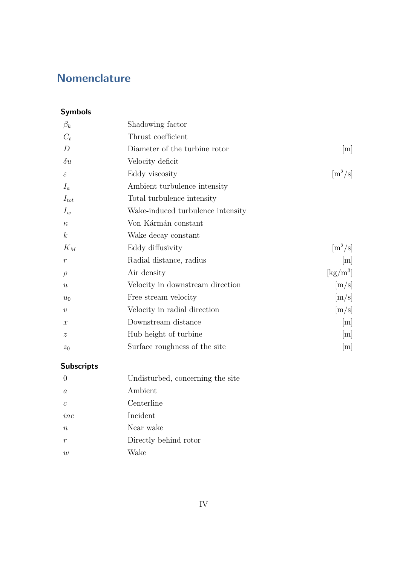## <span id="page-3-0"></span>**Nomenclature**

## Symbols

| Shadowing factor                  |                                         |
|-----------------------------------|-----------------------------------------|
| Thrust coefficient                |                                         |
| Diameter of the turbine rotor     | m                                       |
| Velocity deficit                  |                                         |
| Eddy viscosity                    | $\left[\text{m}^2/\text{s}\right]$      |
| Ambient turbulence intensity      |                                         |
| Total turbulence intensity        |                                         |
| Wake-induced turbulence intensity |                                         |
| Von Kármán constant               |                                         |
| Wake decay constant               |                                         |
| Eddy diffusivity                  | $\left[\text{m}^2/\text{s}\right]$      |
| Radial distance, radius           | m                                       |
| Air density                       | $\left[\mathrm{kg}/\mathrm{m}^3\right]$ |
| Velocity in downstream direction  | [m/s]                                   |
| Free stream velocity              | [m/s]                                   |
| Velocity in radial direction      | [m/s]                                   |
| Downstream distance               | m                                       |
| Hub height of turbine             | m                                       |
| Surface roughness of the site     | m                                       |
|                                   |                                         |

## Subscripts

| $\Omega$         | Undisturbed, concerning the site |
|------------------|----------------------------------|
| $\alpha$         | Ambient                          |
| $\epsilon$       | Centerline                       |
| inc              | Incident                         |
| $\boldsymbol{n}$ | Near wake                        |
| $\boldsymbol{r}$ | Directly behind rotor            |
| w                | Wake                             |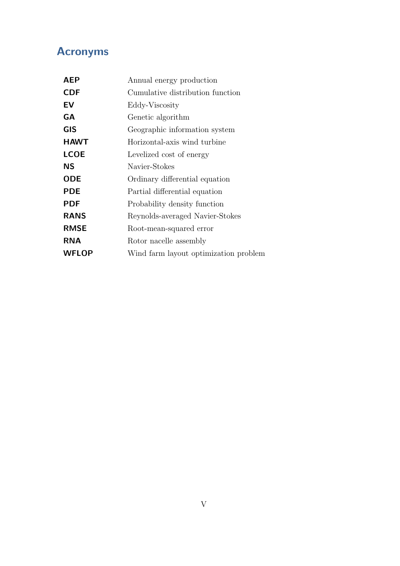## <span id="page-4-0"></span>Acronyms

| <b>AEP</b>   | Annual energy production              |  |
|--------------|---------------------------------------|--|
| <b>CDF</b>   | Cumulative distribution function      |  |
| EV           | Eddy-Viscosity                        |  |
| <b>GA</b>    | Genetic algorithm                     |  |
| <b>GIS</b>   | Geographic information system         |  |
| <b>HAWT</b>  | Horizontal-axis wind turbine          |  |
| <b>LCOE</b>  | Levelized cost of energy              |  |
| ΝS           | Navier-Stokes                         |  |
| <b>ODE</b>   | Ordinary differential equation        |  |
| <b>PDE</b>   | Partial differential equation         |  |
| <b>PDF</b>   | Probability density function          |  |
| <b>RANS</b>  | Reynolds-averaged Navier-Stokes       |  |
| <b>RMSE</b>  | Root-mean-squared error               |  |
| <b>RNA</b>   | Rotor nacelle assembly                |  |
| <b>WFLOP</b> | Wind farm layout optimization problem |  |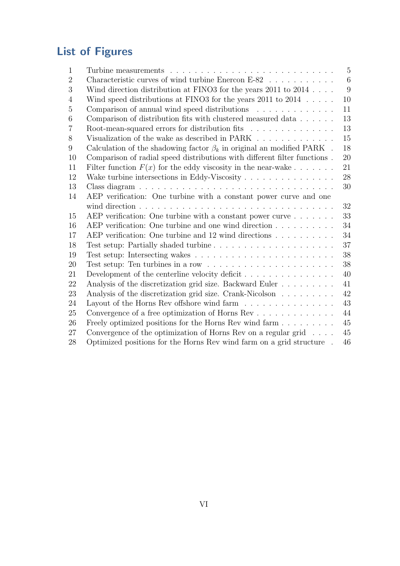# <span id="page-5-0"></span>List of Figures

| $\mathbf{1}$   | Turbine measurements $\ldots \ldots \ldots \ldots \ldots \ldots \ldots \ldots \ldots$     | $\overline{5}$ |
|----------------|-------------------------------------------------------------------------------------------|----------------|
| $\overline{2}$ | Characteristic curves of wind turbine Enercon E-82                                        | $\,6\,$        |
| 3              | Wind direction distribution at FINO3 for the years $2011$ to $2014$                       | 9              |
| 4              | Wind speed distributions at FINO3 for the years 2011 to 2014 $\ldots$ .                   | 10             |
| 5              | Comparison of annual wind speed distributions $\ldots \ldots \ldots \ldots$               | 11             |
| 6              |                                                                                           | 13             |
| 7              | Root-mean-squared errors for distribution fits                                            | 13             |
| 8              | Visualization of the wake as described in PARK                                            | 15             |
| 9              | Calculation of the shadowing factor $\beta_k$ in original an modified PARK.               | 18             |
| 10             | Comparison of radial speed distributions with different filter functions.                 | 20             |
| 11             | Filter function $F(x)$ for the eddy viscosity in the near-wake                            | 21             |
| 12             | Wake turbine intersections in Eddy-Viscosity $\dots \dots \dots \dots \dots$              | 28             |
| 13             |                                                                                           | 30             |
| 14             | AEP verification: One turbine with a constant power curve and one                         |                |
|                |                                                                                           | 32             |
| 15             | AEP verification: One turbine with a constant power curve $\ldots \ldots$                 | 33             |
| 16             | AEP verification: One turbine and one wind direction                                      | 34             |
| 17             | AEP verification: One turbine and 12 wind directions                                      | 34             |
| 18             | Test setup: Partially shaded turbine                                                      | 37             |
| 19             |                                                                                           | 38             |
| 20             | Test setup: Ten turbines in a row $\dots \dots \dots \dots \dots \dots \dots \dots \dots$ | 38             |
| 21             | Development of the centerline velocity deficit $\dots \dots \dots \dots \dots$            | 40             |
| 22             | Analysis of the discretization grid size. Backward Euler                                  | 41             |
| 23             | Analysis of the discretization grid size. Crank-Nicolson                                  | 42             |
| 24             | Layout of the Horns Rev offshore wind farm $\ldots \ldots \ldots \ldots \ldots$           | 43             |
| 25             | Convergence of a free optimization of Horns Rev                                           | 44             |
| 26             | Freely optimized positions for the Horns Rev wind farm                                    | 45             |
| 27             | Convergence of the optimization of Horns Rev on a regular grid $\ldots$ .                 | 45             |
| 28             | Optimized positions for the Horns Rev wind farm on a grid structure.                      | 46             |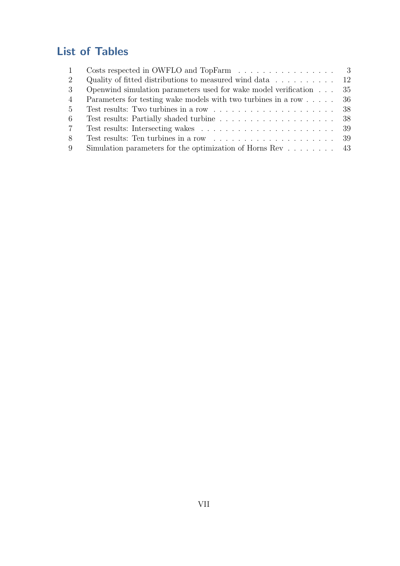## <span id="page-6-0"></span>List of Tables

|                 | Costs respected in OWFLO and TopFarm $\ldots \ldots \ldots \ldots \ldots$ 3     |  |
|-----------------|---------------------------------------------------------------------------------|--|
| 2               | Quality of fitted distributions to measured wind data $\ldots \ldots \ldots$ 12 |  |
| $\mathcal{S}$   | Openwind simulation parameters used for wake model verification $\ldots$ 35     |  |
| $\overline{4}$  | Parameters for testing wake models with two turbines in a row 36                |  |
| $5 -$           |                                                                                 |  |
| -6              |                                                                                 |  |
| $7\phantom{.0}$ |                                                                                 |  |
| 8               |                                                                                 |  |
| 9               | Simulation parameters for the optimization of Horns Rev $\dots \dots$ 43        |  |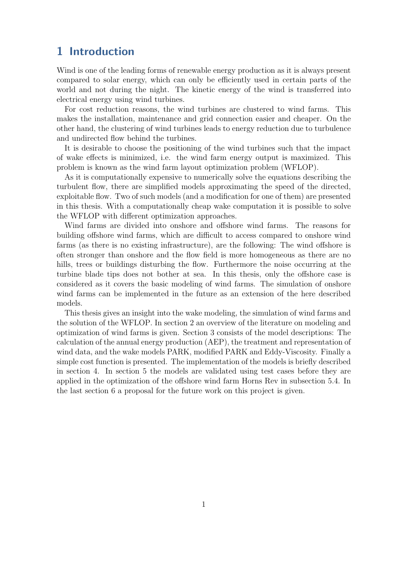## <span id="page-7-0"></span>1 Introduction

Wind is one of the leading forms of renewable energy production as it is always present compared to solar energy, which can only be efficiently used in certain parts of the world and not during the night. The kinetic energy of the wind is transferred into electrical energy using wind turbines.

For cost reduction reasons, the wind turbines are clustered to wind farms. This makes the installation, maintenance and grid connection easier and cheaper. On the other hand, the clustering of wind turbines leads to energy reduction due to turbulence and undirected flow behind the turbines.

It is desirable to choose the positioning of the wind turbines such that the impact of wake effects is minimized, i.e. the wind farm energy output is maximized. This problem is known as the wind farm layout optimization problem (WFLOP).

As it is computationally expensive to numerically solve the equations describing the turbulent flow, there are simplified models approximating the speed of the directed, exploitable flow. Two of such models (and a modification for one of them) are presented in this thesis. With a computationally cheap wake computation it is possible to solve the WFLOP with different optimization approaches.

Wind farms are divided into onshore and offshore wind farms. The reasons for building offshore wind farms, which are difficult to access compared to onshore wind farms (as there is no existing infrastructure), are the following: The wind offshore is often stronger than onshore and the flow field is more homogeneous as there are no hills, trees or buildings disturbing the flow. Furthermore the noise occurring at the turbine blade tips does not bother at sea. In this thesis, only the offshore case is considered as it covers the basic modeling of wind farms. The simulation of onshore wind farms can be implemented in the future as an extension of the here described models.

This thesis gives an insight into the wake modeling, the simulation of wind farms and the solution of the WFLOP. In section [2](#page-8-0) an overview of the literature on modeling and optimization of wind farms is given. Section [3](#page-11-0) consists of the model descriptions: The calculation of the annual energy production (AEP), the treatment and representation of wind data, and the wake models PARK, modified PARK and Eddy-Viscosity. Finally a simple cost function is presented. The implementation of the models is briefly described in section [4.](#page-36-0) In section [5](#page-38-0) the models are validated using test cases before they are applied in the optimization of the offshore wind farm Horns Rev in subsection [5.4.](#page-49-0) In the last section [6](#page-53-0) a proposal for the future work on this project is given.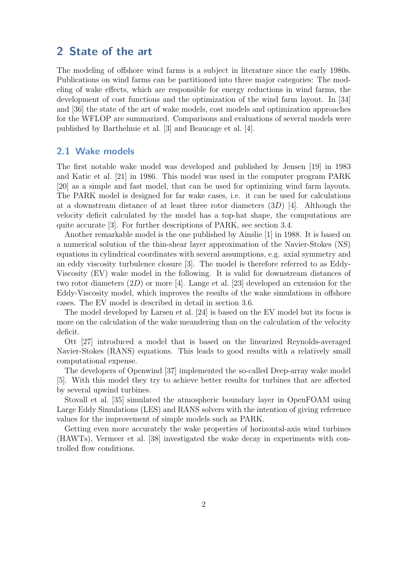### <span id="page-8-0"></span>2 State of the art

The modeling of offshore wind farms is a subject in literature since the early 1980s. Publications on wind farms can be partitioned into three major categories: The modeling of wake effects, which are responsible for energy reductions in wind farms, the development of cost functions and the optimization of the wind farm layout. In [\[34\]](#page-56-0) and [\[36\]](#page-56-1) the state of the art of wake models, cost models and optimization approaches for the WFLOP are summarized. Comparisons and evaluations of several models were published by [Barthelmie et al.](#page-54-1) [\[3\]](#page-54-1) and [Beaucage et al.](#page-54-2) [\[4\]](#page-54-2).

#### <span id="page-8-1"></span>2.1 Wake models

The first notable wake model was developed and published by [Jensen](#page-55-0) [\[19\]](#page-55-0) in 1983 and [Katic et al.](#page-55-1) [\[21\]](#page-55-1) in 1986. This model was used in the computer program PARK [\[20\]](#page-55-2) as a simple and fast model, that can be used for optimizing wind farm layouts. The PARK model is designed for far wake cases, i.e. it can be used for calculations at a downstream distance of at least three rotor diameters (3D) [\[4\]](#page-54-2). Although the velocity deficit calculated by the model has a top-hat shape, the computations are quite accurate [\[3\]](#page-54-1). For further descriptions of PARK, see section [3.4.](#page-21-0)

Another remarkable model is the one published by [Ainslie](#page-54-3) [\[1\]](#page-54-3) in 1988. It is based on a numerical solution of the thin-shear layer approximation of the Navier-Stokes (NS) equations in cylindrical coordinates with several assumptions, e.g. axial symmetry and an eddy viscosity turbulence closure [\[3\]](#page-54-1). The model is therefore referred to as Eddy-Viscosity (EV) wake model in the following. It is valid for downstream distances of two rotor diameters (2D) or more [\[4\]](#page-54-2). [Lange et al.](#page-55-3) [\[23\]](#page-55-3) developed an extension for the Eddy-Viscosity model, which improves the results of the wake simulations in offshore cases. The EV model is described in detail in section [3.6.](#page-24-0)

The model developed by [Larsen et al.](#page-55-4) [\[24\]](#page-55-4) is based on the EV model but its focus is more on the calculation of the wake meandering than on the calculation of the velocity deficit.

[Ott](#page-55-5) [\[27\]](#page-55-5) introduced a model that is based on the linearized Reynolds-averaged Navier-Stokes (RANS) equations. This leads to good results with a relatively small computational expense.

The developers of Openwind [\[37\]](#page-56-2) implemented the so-called Deep-array wake model [\[5\]](#page-54-4). With this model they try to achieve better results for turbines that are affected by several upwind turbines.

[Stovall et al.](#page-56-3) [\[35\]](#page-56-3) simulated the atmospheric boundary layer in OpenFOAM using Large Eddy Simulations (LES) and RANS solvers with the intention of giving reference values for the improvement of simple models such as PARK.

<span id="page-8-2"></span>Getting even more accurately the wake properties of horizontal-axis wind turbines (HAWTs), [Vermeer et al.](#page-56-4) [\[38\]](#page-56-4) investigated the wake decay in experiments with controlled flow conditions.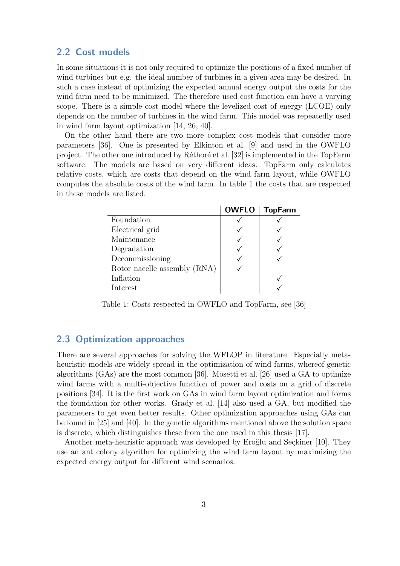#### 2.2 Cost models

In some situations it is not only required to optimize the positions of a fixed number of wind turbines but e.g. the ideal number of turbines in a given area may be desired. In such a case instead of optimizing the expected annual energy output the costs for the wind farm need to be minimized. The therefore used cost function can have a varying scope. There is a simple cost model where the levelized cost of energy (LCOE) only depends on the number of turbines in the wind farm. This model was repeatedly used in wind farm layout optimization [\[14,](#page-54-5) [26,](#page-55-6) [40\]](#page-56-5).

On the other hand there are two more complex cost models that consider more parameters [\[36\]](#page-56-1). One is presented by [Elkinton et al.](#page-54-6) [\[9\]](#page-54-6) and used in the OWFLO project. The other one introduced by Réthoré et al. [\[32\]](#page-56-6) is implemented in the TopFarm software. The models are based on very different ideas. TopFarm only calculates relative costs, which are costs that depend on the wind farm layout, while OWFLO computes the absolute costs of the wind farm. In table [1](#page-9-1) the costs that are respected in these models are listed.

<span id="page-9-1"></span>

|                              | <b>OWFLO</b> | <b>TopFarm</b> |
|------------------------------|--------------|----------------|
| Foundation                   |              |                |
| Electrical grid              |              |                |
| Maintenance                  |              |                |
| Degradation                  |              |                |
| Decommissioning              |              |                |
| Rotor nacelle assembly (RNA) |              |                |
| Inflation                    |              |                |
| Interest                     |              |                |

Table 1: Costs respected in OWFLO and TopFarm, see [\[36\]](#page-56-1)

#### <span id="page-9-0"></span>2.3 Optimization approaches

There are several approaches for solving the WFLOP in literature. Especially metaheuristic models are widely spread in the optimization of wind farms, whereof genetic algorithms (GAs) are the most common [\[36\]](#page-56-1). [Mosetti et al.](#page-55-6) [\[26\]](#page-55-6) used a GA to optimize wind farms with a multi-objective function of power and costs on a grid of discrete positions [\[34\]](#page-56-0). It is the first work on GAs in wind farm layout optimization and forms the foundation for other works. [Grady et al.](#page-54-5) [\[14\]](#page-54-5) also used a GA, but modified the parameters to get even better results. Other optimization approaches using GAs can be found in [\[25\]](#page-55-7) and [\[40\]](#page-56-5). In the genetic algorithms mentioned above the solution space is discrete, which distinguishes these from the one used in this thesis [\[17\]](#page-55-8).

Another meta-heuristic approach was developed by Eroğlu and Seçkiner [\[10\]](#page-54-7). They use an ant colony algorithm for optimizing the wind farm layout by maximizing the expected energy output for different wind scenarios.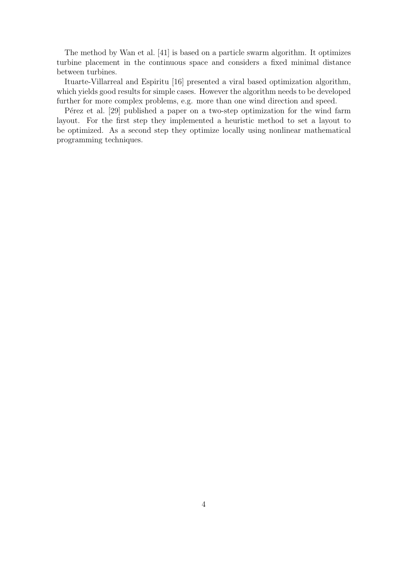The method by [Wan et al.](#page-56-7) [\[41\]](#page-56-7) is based on a particle swarm algorithm. It optimizes turbine placement in the continuous space and considers a fixed minimal distance between turbines.

[Ituarte-Villarreal and Espiritu](#page-55-9) [\[16\]](#page-55-9) presented a viral based optimization algorithm, which yields good results for simple cases. However the algorithm needs to be developed further for more complex problems, e.g. more than one wind direction and speed.

P<sub>e</sub>rez et al. [\[29\]](#page-56-8) published a paper on a two-step optimization for the wind farm layout. For the first step they implemented a heuristic method to set a layout to be optimized. As a second step they optimize locally using nonlinear mathematical programming techniques.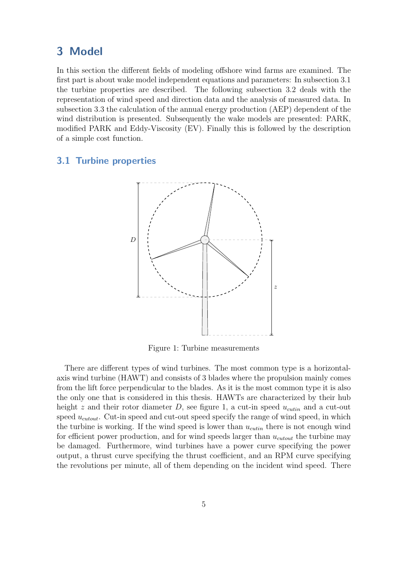### <span id="page-11-0"></span>3 Model

In this section the different fields of modeling offshore wind farms are examined. The first part is about wake model independent equations and parameters: In subsection [3.1](#page-11-1) the turbine properties are described. The following subsection [3.2](#page-12-0) deals with the representation of wind speed and direction data and the analysis of measured data. In subsection [3.3](#page-20-0) the calculation of the annual energy production (AEP) dependent of the wind distribution is presented. Subsequently the wake models are presented: PARK, modified PARK and Eddy-Viscosity (EV). Finally this is followed by the description of a simple cost function.

#### <span id="page-11-2"></span><span id="page-11-1"></span>3.1 Turbine properties



Figure 1: Turbine measurements

There are different types of wind turbines. The most common type is a horizontalaxis wind turbine (HAWT) and consists of 3 blades where the propulsion mainly comes from the lift force perpendicular to the blades. As it is the most common type it is also the only one that is considered in this thesis. HAWTs are characterized by their hub height z and their rotor diameter D, see figure [1,](#page-11-2) a cut-in speed  $u_{cutin}$  and a cut-out speed  $u_{\text{cutoff}}$ . Cut-in speed and cut-out speed specify the range of wind speed, in which the turbine is working. If the wind speed is lower than  $u_{cutin}$  there is not enough wind for efficient power production, and for wind speeds larger than  $u_{\text{cutoff}}$  the turbine may be damaged. Furthermore, wind turbines have a power curve specifying the power output, a thrust curve specifying the thrust coefficient, and an RPM curve specifying the revolutions per minute, all of them depending on the incident wind speed. There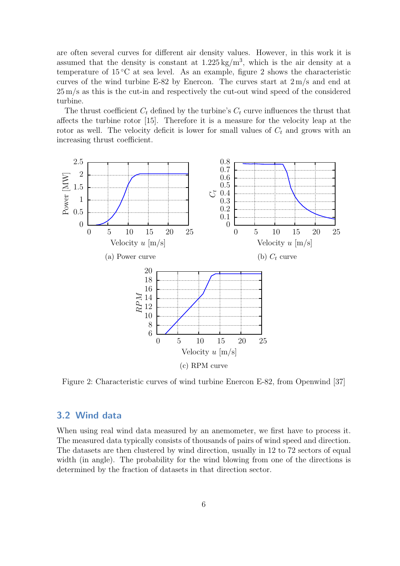are often several curves for different air density values. However, in this work it is assumed that the density is constant at  $1.225 \text{ kg/m}^3$ , which is the air density at a temperature of  $15\,^{\circ}\text{C}$  at sea level. As an example, figure [2](#page-12-1) shows the characteristic curves of the wind turbine E-82 by Enercon. The curves start at 2 m/s and end at 25 m/s as this is the cut-in and respectively the cut-out wind speed of the considered turbine.

The thrust coefficient  $C_t$  defined by the turbine's  $C_t$  curve influences the thrust that affects the turbine rotor [\[15\]](#page-55-10). Therefore it is a measure for the velocity leap at the rotor as well. The velocity deficit is lower for small values of  $C_t$  and grows with an increasing thrust coefficient.

<span id="page-12-1"></span>

Figure 2: Characteristic curves of wind turbine Enercon E-82, from Openwind [\[37\]](#page-56-2)

#### <span id="page-12-0"></span>3.2 Wind data

When using real wind data measured by an anemometer, we first have to process it. The measured data typically consists of thousands of pairs of wind speed and direction. The datasets are then clustered by wind direction, usually in 12 to 72 sectors of equal width (in angle). The probability for the wind blowing from one of the directions is determined by the fraction of datasets in that direction sector.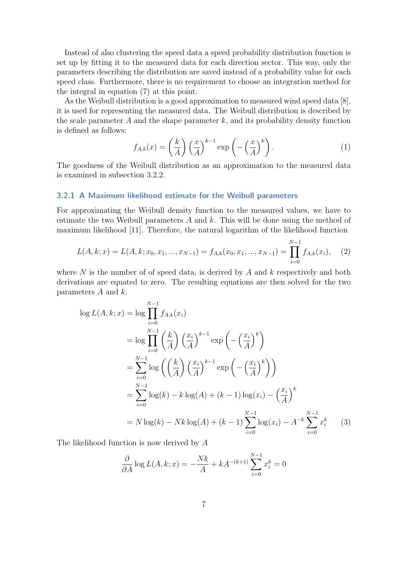Instead of also clustering the speed data a speed probability distribution function is set up by fitting it to the measured data for each direction sector. This way, only the parameters describing the distribution are saved instead of a probability value for each speed class. Furthermore, there is no requirement to choose an integration method for the integral in equation [\(7\)](#page-20-1) at this point.

As the Weibull distribution is a good approximation to measured wind speed data [\[8\]](#page-54-8), it is used for representing the measured data. The Weibull distribution is described by the scale parameter  $A$  and the shape parameter  $k$ , and its probability density function is defined as follows:

$$
f_{A,k}(x) = \left(\frac{k}{A}\right) \left(\frac{x}{A}\right)^{k-1} \exp\left(-\left(\frac{x}{A}\right)^k\right). \tag{1}
$$

The goodness of the Weibull distribution as an approximation to the measured data is examined in subsection [3.2.2.](#page-17-0)

#### <span id="page-13-0"></span>3.2.1 A Maximum likelihood estimate for the Weibull parameters

For approximating the Weibull density function to the measured values, we have to estimate the two Weibull parameters  $A$  and  $k$ . This will be done using the method of maximum likelihood [\[11\]](#page-54-9). Therefore, the natural logarithm of the likelihood function

$$
L(A, k; x) = L(A, k; x_0, x_1, ..., x_{N-1}) = f_{A,k}(x_0, x_1, ..., x_{N-1}) = \prod_{i=0}^{N-1} f_{A,k}(x_i), \quad (2)
$$

where  $N$  is the number of of speed data, is derived by  $A$  and  $k$  respectively and both derivations are equated to zero. The resulting equations are then solved for the two parameters  $A$  and  $k$ .

$$
\log L(A, k; x) = \log \prod_{i=0}^{N-1} f_{A,k}(x_i)
$$
  
=  $\log \prod_{i=0}^{N-1} \left(\frac{k}{A}\right) \left(\frac{x_i}{A}\right)^{k-1} \exp\left(-\left(\frac{x_i}{A}\right)^k\right)$   
=  $\sum_{i=0}^{N-1} \log \left(\left(\frac{k}{A}\right) \left(\frac{x_i}{A}\right)^{k-1} \exp\left(-\left(\frac{x_i}{A}\right)^k\right)\right)$   
=  $\sum_{i=0}^{N-1} \log(k) - k \log(A) + (k-1) \log(x_i) - \left(\frac{x_i}{A}\right)^k$   
=  $N \log(k) - Nk \log(A) + (k-1) \sum_{i=0}^{N-1} \log(x_i) - A^{-k} \sum_{i=0}^{N-1} x_i^k$  (3)

The likelihood function is now derived by A

$$
\frac{\partial}{\partial A} \log L(A, k; x) = -\frac{Nk}{A} + kA^{-(k+1)} \sum_{i=0}^{N-1} x_i^k = 0
$$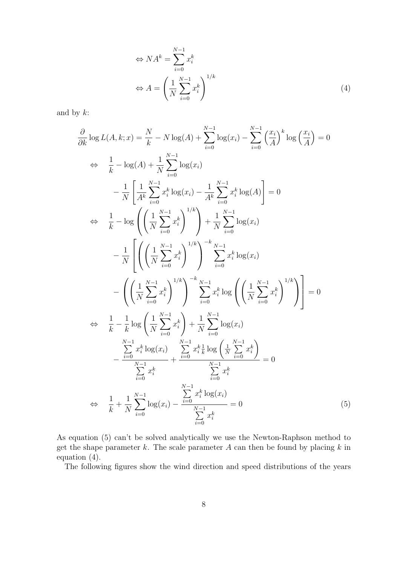<span id="page-14-1"></span>
$$
\Leftrightarrow NA^k = \sum_{i=0}^{N-1} x_i^k
$$

$$
\Leftrightarrow A = \left(\frac{1}{N} \sum_{i=0}^{N-1} x_i^k\right)^{1/k} \tag{4}
$$

and by  $k$ :

$$
\frac{\partial}{\partial k} \log L(A, k; x) = \frac{N}{k} - N \log(A) + \sum_{i=0}^{N-1} \log(x_i) - \sum_{i=0}^{N-1} \left(\frac{x_i}{A}\right)^k \log\left(\frac{x_i}{A}\right) = 0
$$
  
\n
$$
\Leftrightarrow \frac{1}{k} - \log(A) + \frac{1}{N} \sum_{i=0}^{N-1} \log(x_i)
$$
  
\n
$$
- \frac{1}{N} \left[ \frac{1}{A^k} \sum_{i=0}^{N-1} x_i^k \log(x_i) - \frac{1}{A^k} \sum_{i=0}^{N-1} x_i^k \log(A) \right] = 0
$$
  
\n
$$
\Leftrightarrow \frac{1}{k} - \log \left( \left(\frac{1}{N} \sum_{i=0}^{N-1} x_i^k\right)^{1/k} \right) + \frac{1}{N} \sum_{i=0}^{N-1} \log(x_i)
$$
  
\n
$$
- \frac{1}{N} \left[ \left(\left(\frac{1}{N} \sum_{i=0}^{N-1} x_i^k\right)^{1/k}\right)^{-k} \sum_{i=0}^{N-1} x_i^k \log(x_i)
$$
  
\n
$$
- \left(\left(\frac{1}{N} \sum_{i=0}^{N-1} x_i^k\right)^{1/k}\right)^{-k} \sum_{i=0}^{N-1} x_i^k \log\left(\left(\frac{1}{N} \sum_{i=0}^{N-1} x_i^k\right)^{1/k}\right) \right] = 0
$$
  
\n
$$
\Leftrightarrow \frac{1}{k} - \frac{1}{k} \log \left(\frac{1}{N} \sum_{i=0}^{N-1} x_i^k\right) + \frac{1}{N} \sum_{i=0}^{N-1} \log(x_i)
$$
  
\n
$$
- \frac{\sum_{i=0}^{N-1} x_i^k \log(x_i)}{\sum_{i=0}^{N-1} x_i^k} + \frac{\sum_{i=0}^{N-1} x_i^k \log\left(\frac{1}{N} \sum_{i=0}^{N-1} x_i^k\right)}{\sum_{i=0}^{N-1} x_i^k} = 0
$$
  
\n
$$
\Leftrightarrow \frac{1}{k} + \frac{1}{N} \sum_{i=0}^{
$$

As equation [\(5\)](#page-14-0) can't be solved analytically we use the Newton-Raphson method to get the shape parameter  $k$ . The scale parameter  $A$  can then be found by placing  $k$  in equation [\(4\)](#page-14-1).

<span id="page-14-0"></span>The following figures show the wind direction and speed distributions of the years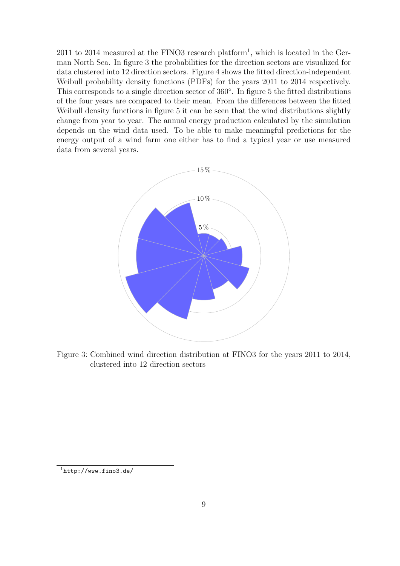$2011$  $2011$  $2011$  to  $2014$  measured at the FINO3 research platform<sup>1</sup>, which is located in the German North Sea. In figure [3](#page-15-0) the probabilities for the direction sectors are visualized for data clustered into 12 direction sectors. Figure [4](#page-16-0) shows the fitted direction-independent Weibull probability density functions (PDFs) for the years 2011 to 2014 respectively. This corresponds to a single direction sector of 360°. In figure [5](#page-17-1) the fitted distributions of the four years are compared to their mean. From the differences between the fitted Weibull density functions in figure [5](#page-17-1) it can be seen that the wind distributions slightly change from year to year. The annual energy production calculated by the simulation depends on the wind data used. To be able to make meaningful predictions for the energy output of a wind farm one either has to find a typical year or use measured data from several years.

<span id="page-15-0"></span>

Figure 3: Combined wind direction distribution at FINO3 for the years 2011 to 2014, clustered into 12 direction sectors

<span id="page-15-1"></span><sup>1</sup><http://www.fino3.de/>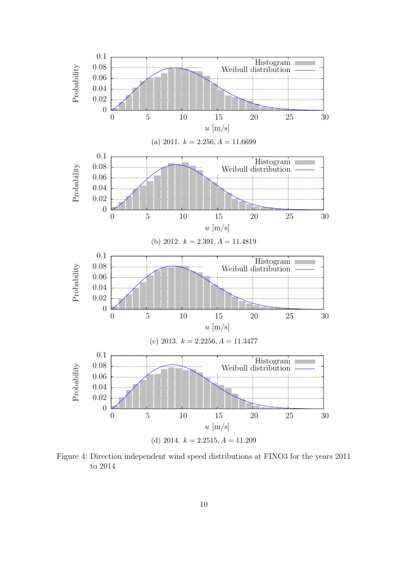<span id="page-16-0"></span>

Figure 4: Direction independent wind speed distributions at FINO3 for the years 2011 to 2014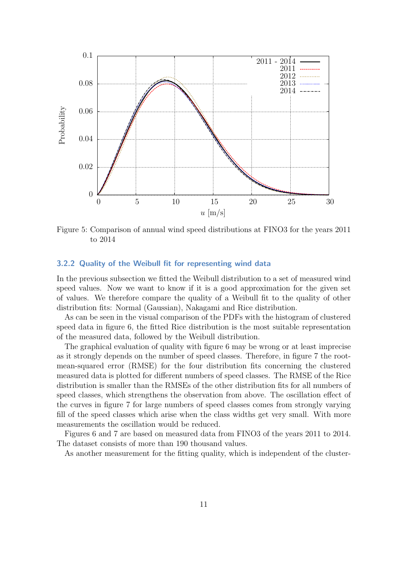<span id="page-17-1"></span>

Figure 5: Comparison of annual wind speed distributions at FINO3 for the years 2011 to 2014

#### <span id="page-17-0"></span>3.2.2 Quality of the Weibull fit for representing wind data

In the previous subsection we fitted the Weibull distribution to a set of measured wind speed values. Now we want to know if it is a good approximation for the given set of values. We therefore compare the quality of a Weibull fit to the quality of other distribution fits: Normal (Gaussian), Nakagami and Rice distribution.

As can be seen in the visual comparison of the PDFs with the histogram of clustered speed data in figure [6,](#page-19-0) the fitted Rice distribution is the most suitable representation of the measured data, followed by the Weibull distribution.

The graphical evaluation of quality with figure [6](#page-19-0) may be wrong or at least imprecise as it strongly depends on the number of speed classes. Therefore, in figure [7](#page-19-1) the rootmean-squared error (RMSE) for the four distribution fits concerning the clustered measured data is plotted for different numbers of speed classes. The RMSE of the Rice distribution is smaller than the RMSEs of the other distribution fits for all numbers of speed classes, which strengthens the observation from above. The oscillation effect of the curves in figure [7](#page-19-1) for large numbers of speed classes comes from strongly varying fill of the speed classes which arise when the class widths get very small. With more measurements the oscillation would be reduced.

Figures [6](#page-19-0) and [7](#page-19-1) are based on measured data from FINO3 of the years 2011 to 2014. The dataset consists of more than 190 thousand values.

As another measurement for the fitting quality, which is independent of the cluster-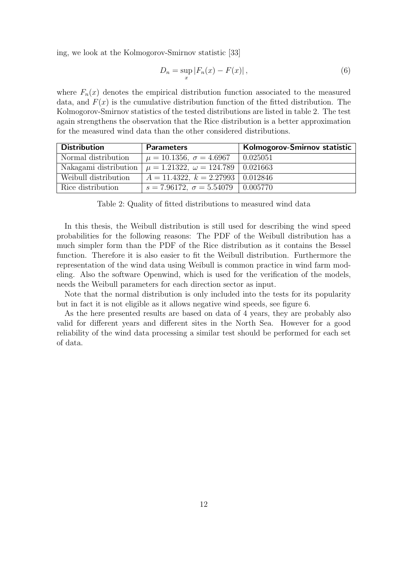ing, we look at the Kolmogorov-Smirnov statistic [\[33\]](#page-56-9)

$$
D_n = \sup_x |F_n(x) - F(x)|,
$$
\n(6)

where  $F_n(x)$  denotes the empirical distribution function associated to the measured data, and  $F(x)$  is the cumulative distribution function of the fitted distribution. The Kolmogorov-Smirnov statistics of the tested distributions are listed in table [2.](#page-18-0) The test again strengthens the observation that the Rice distribution is a better approximation for the measured wind data than the other considered distributions.

<span id="page-18-0"></span>

| <b>Distribution</b>  | <b>Parameters</b>                                                     | Kolmogorov-Smirnov statistic |
|----------------------|-----------------------------------------------------------------------|------------------------------|
| Normal distribution  | $\mu = 10.1356, \sigma = 4.6967$                                      | 0.025051                     |
|                      | Nakagami distribution $\mu = 1.21322$ , $\omega = 124.789$   0.021663 |                              |
| Weibull distribution | $A = 11.4322, k = 2.27993   0.012846$                                 |                              |
| Rice distribution    | $s = 7.96172, \ \sigma = 5.54079 \ \mid 0.005770$                     |                              |

Table 2: Quality of fitted distributions to measured wind data

In this thesis, the Weibull distribution is still used for describing the wind speed probabilities for the following reasons: The PDF of the Weibull distribution has a much simpler form than the PDF of the Rice distribution as it contains the Bessel function. Therefore it is also easier to fit the Weibull distribution. Furthermore the representation of the wind data using Weibull is common practice in wind farm modeling. Also the software Openwind, which is used for the verification of the models, needs the Weibull parameters for each direction sector as input.

Note that the normal distribution is only included into the tests for its popularity but in fact it is not eligible as it allows negative wind speeds, see figure [6.](#page-19-0)

As the here presented results are based on data of 4 years, they are probably also valid for different years and different sites in the North Sea. However for a good reliability of the wind data processing a similar test should be performed for each set of data.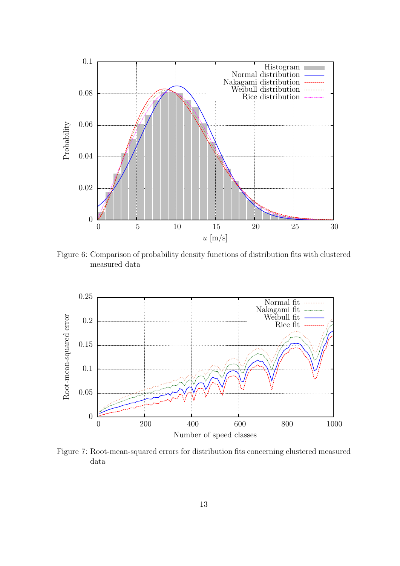<span id="page-19-0"></span>

Figure 6: Comparison of probability density functions of distribution fits with clustered measured data

<span id="page-19-1"></span>

Figure 7: Root-mean-squared errors for distribution fits concerning clustered measured data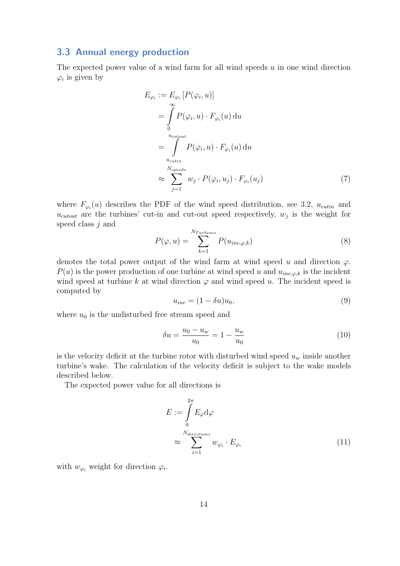#### <span id="page-20-0"></span>3.3 Annual energy production

The expected power value of a wind farm for all wind speeds  $u$  in one wind direction  $\varphi_i$  is given by

$$
E_{\varphi_i} := E_{\varphi_i} [P(\varphi_i, u)]
$$
  
= 
$$
\int_{0}^{\infty} P(\varphi_i, u) \cdot F_{\varphi_i}(u) du
$$
  
= 
$$
\int_{u_{\text{cutin}}}^{u_{\text{cutout}}} P(\varphi_i, u) \cdot F_{\varphi_i}(u) du
$$
  

$$
\approx \sum_{j=1}^{N_{speeds}} w_j \cdot P(\varphi_i, u_j) \cdot F_{\varphi_i}(u_j)
$$
 (7)

where  $F_{\varphi_i}(u)$  describes the PDF of the wind speed distribution, see [3.2,](#page-12-0)  $u_{cutin}$  and  $u_{\text{cutoff}}$  are the turbines' cut-in and cut-out speed respectively,  $w_j$  is the weight for speed class j and

<span id="page-20-1"></span>
$$
P(\varphi, u) = \sum_{k=1}^{N_{Turbines}} P(u_{inc, \varphi, k})
$$
\n(8)

denotes the total power output of the wind farm at wind speed u and direction  $\varphi$ .  $P(u)$  is the power production of one turbine at wind speed u and  $u_{inc,\varphi,k}$  is the incident wind speed at turbine k at wind direction  $\varphi$  and wind speed u. The incident speed is computed by

$$
u_{inc} = (1 - \delta u)u_0,\t\t(9)
$$

where  $u_0$  is the undisturbed free stream speed and

<span id="page-20-2"></span>
$$
\delta u = \frac{u_0 - u_w}{u_0} = 1 - \frac{u_w}{u_0} \tag{10}
$$

is the velocity deficit at the turbine rotor with disturbed wind speed  $u_w$  inside another turbine's wake. The calculation of the velocity deficit is subject to the wake models described below.

The expected power value for all directions is

$$
E := \int_{0}^{2\pi} E_{\varphi} d\varphi
$$
  

$$
\approx \sum_{i=1}^{N_{directions}} w_{\varphi_i} \cdot E_{\varphi_i}
$$
 (11)

with  $w_{\varphi_i}$  weight for direction  $\varphi_i$ .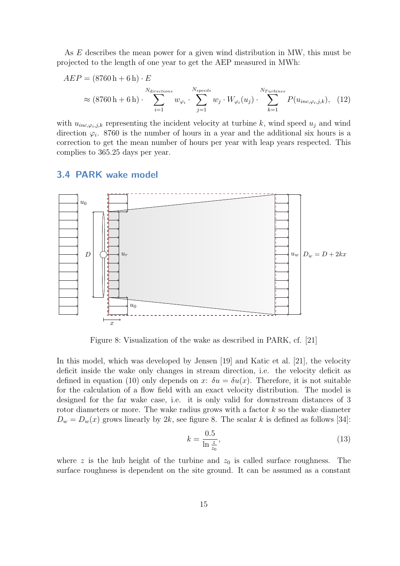As E describes the mean power for a given wind distribution in MW, this must be projected to the length of one year to get the AEP measured in MWh:

<span id="page-21-2"></span>
$$
AEP = (8760 \text{ h} + 6 \text{ h}) \cdot E
$$
  

$$
\approx (8760 \text{ h} + 6 \text{ h}) \cdot \sum_{i=1}^{N_{directions}} w_{\varphi_i} \cdot \sum_{j=1}^{N_{speeds}} w_j \cdot W_{\varphi_i}(u_j) \cdot \sum_{k=1}^{N_{Turbines}} P(u_{inc,\varphi_i,j,k}), \quad (12)
$$

with  $u_{inc,\varphi_i,j,k}$  representing the incident velocity at turbine k, wind speed  $u_j$  and wind direction  $\varphi_i$ . 8760 is the number of hours in a year and the additional six hours is a correction to get the mean number of hours per year with leap years respected. This complies to 365.25 days per year.

#### <span id="page-21-0"></span>3.4 PARK wake model

<span id="page-21-1"></span>

Figure 8: Visualization of the wake as described in PARK, cf. [\[21\]](#page-55-1)

In this model, which was developed by [Jensen](#page-55-0) [\[19\]](#page-55-0) and [Katic et al.](#page-55-1) [\[21\]](#page-55-1), the velocity deficit inside the wake only changes in stream direction, i.e. the velocity deficit as defined in equation [\(10\)](#page-20-2) only depends on x:  $\delta u = \delta u(x)$ . Therefore, it is not suitable for the calculation of a flow field with an exact velocity distribution. The model is designed for the far wake case, i.e. it is only valid for downstream distances of 3 rotor diameters or more. The wake radius grows with a factor  $k$  so the wake diameter  $D_w = D_w(x)$  grows linearly by 2k, see figure [8.](#page-21-1) The scalar k is defined as follows [\[34\]](#page-56-0):

$$
k = \frac{0.5}{\ln \frac{z}{z_0}},\tag{13}
$$

where z is the hub height of the turbine and  $z_0$  is called surface roughness. The surface roughness is dependent on the site ground. It can be assumed as a constant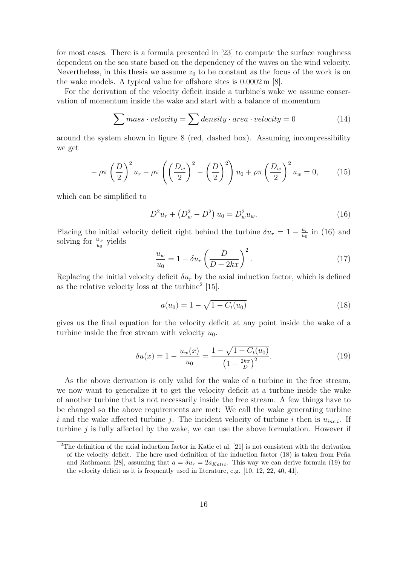for most cases. There is a formula presented in [\[23\]](#page-55-3) to compute the surface roughness dependent on the sea state based on the dependency of the waves on the wind velocity. Nevertheless, in this thesis we assume  $z_0$  to be constant as the focus of the work is on the wake models. A typical value for offshore sites is 0.0002 m [\[8\]](#page-54-8).

For the derivation of the velocity deficit inside a turbine's wake we assume conservation of momentum inside the wake and start with a balance of momentum

$$
\sum mass \cdot velocity = \sum density \cdot area \cdot velocity = 0 \tag{14}
$$

around the system shown in figure [8](#page-21-1) (red, dashed box). Assuming incompressibility we get

$$
-\rho\pi\left(\frac{D}{2}\right)^2 u_r - \rho\pi\left(\left(\frac{D_w}{2}\right)^2 - \left(\frac{D}{2}\right)^2\right) u_0 + \rho\pi\left(\frac{D_w}{2}\right)^2 u_w = 0, \quad (15)
$$

which can be simplified to

<span id="page-22-0"></span>
$$
D^2 u_r + \left(D_w^2 - D^2\right) u_0 = D_w^2 u_w.
$$
\n(16)

Placing the initial velocity deficit right behind the turbine  $\delta u_r = 1 - \frac{u_r}{u_c}$  $\frac{u_r}{u_0}$  in [\(16\)](#page-22-0) and solving for  $\frac{u_w}{u_0}$  yields

$$
\frac{u_w}{u_0} = 1 - \delta u_r \left(\frac{D}{D + 2kx}\right)^2.
$$
\n(17)

Replacing the initial velocity deficit  $\delta u_r$  by the axial induction factor, which is defined as the relative velocity loss at the turbine<sup>[2](#page-22-1)</sup> [\[15\]](#page-55-10).

<span id="page-22-2"></span>
$$
a(u_0) = 1 - \sqrt{1 - C_t(u_0)}
$$
\n(18)

gives us the final equation for the velocity deficit at any point inside the wake of a turbine inside the free stream with velocity  $u_0$ .

<span id="page-22-3"></span>
$$
\delta u(x) = 1 - \frac{u_w(x)}{u_0} = \frac{1 - \sqrt{1 - C_t(u_0)}}{\left(1 + \frac{2kx}{D}\right)^2}.
$$
\n(19)

As the above derivation is only valid for the wake of a turbine in the free stream, we now want to generalize it to get the velocity deficit at a turbine inside the wake of another turbine that is not necessarily inside the free stream. A few things have to be changed so the above requirements are met: We call the wake generating turbine i and the wake affected turbine j. The incident velocity of turbine i then is  $u_{inc,i}$ . If turbine  $j$  is fully affected by the wake, we can use the above formulation. However if

<span id="page-22-1"></span><sup>&</sup>lt;sup>2</sup>The definition of the axial induction factor in [Katic et al.](#page-55-1) [\[21\]](#page-55-1) is not consistent with the derivation of the velocity deficit. The here used definition of the induction factor  $(18)$  is taken from Peña [and Rathmann](#page-55-11) [\[28\]](#page-55-11), assuming that  $a = \delta u_r = 2a_{Katic}$ . This way we can derive formula [\(19\)](#page-22-3) for the velocity deficit as it is frequently used in literature, e.g. [\[10,](#page-54-7) [12,](#page-54-10) [22,](#page-55-12) [40,](#page-56-5) [41\]](#page-56-7).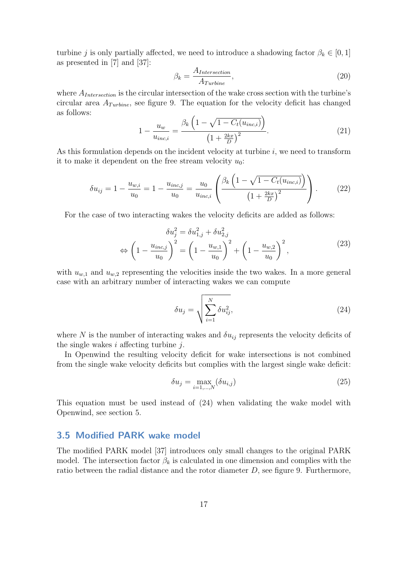turbine j is only partially affected, we need to introduce a shadowing factor  $\beta_k \in [0, 1]$ as presented in [\[7\]](#page-54-11) and [\[37\]](#page-56-2):

<span id="page-23-3"></span>
$$
\beta_k = \frac{A_{Intersection}}{A_{Turbine}},\tag{20}
$$

where  $A_{Intersection}$  is the circular intersection of the wake cross section with the turbine's circular area  $A_{Turbine}$ , see figure [9.](#page-24-1) The equation for the velocity deficit has changed as follows:

$$
1 - \frac{u_w}{u_{inc,i}} = \frac{\beta_k \left(1 - \sqrt{1 - C_t(u_{inc,i})}\right)}{\left(1 + \frac{2kx}{D}\right)^2}.
$$
 (21)

As this formulation depends on the incident velocity at turbine  $i$ , we need to transform it to make it dependent on the free stream velocity  $u_0$ :

<span id="page-23-2"></span>
$$
\delta u_{ij} = 1 - \frac{u_{w,i}}{u_0} = 1 - \frac{u_{inc,j}}{u_0} = \frac{u_0}{u_{inc,i}} \left( \frac{\beta_k \left( 1 - \sqrt{1 - C_t(u_{inc,i})} \right)}{\left( 1 + \frac{2kx}{D} \right)^2} \right). \tag{22}
$$

For the case of two interacting wakes the velocity deficits are added as follows:

$$
\delta u_j^2 = \delta u_{1,j}^2 + \delta u_{2,j}^2
$$
  
\n
$$
\Leftrightarrow \left(1 - \frac{u_{inc,j}}{u_0}\right)^2 = \left(1 - \frac{u_{w,1}}{u_0}\right)^2 + \left(1 - \frac{u_{w,2}}{u_0}\right)^2,
$$
\n(23)

with  $u_{w,1}$  and  $u_{w,2}$  representing the velocities inside the two wakes. In a more general case with an arbitrary number of interacting wakes we can compute

<span id="page-23-1"></span>
$$
\delta u_j = \sqrt{\sum_{i=1}^N \delta u_{ij}^2},\tag{24}
$$

where N is the number of interacting wakes and  $\delta u_{ij}$  represents the velocity deficits of the single wakes i affecting turbine  $i$ .

In Openwind the resulting velocity deficit for wake intersections is not combined from the single wake velocity deficits but complies with the largest single wake deficit:

$$
\delta u_j = \max_{i=1,\dots,N} (\delta u_{i,j})
$$
\n(25)

This equation must be used instead of [\(24\)](#page-23-1) when validating the wake model with Openwind, see section [5.](#page-38-0)

#### <span id="page-23-0"></span>3.5 Modified PARK wake model

The modified PARK model [\[37\]](#page-56-2) introduces only small changes to the original PARK model. The intersection factor  $\beta_k$  is calculated in one dimension and complies with the ratio between the radial distance and the rotor diameter  $D$ , see figure [9.](#page-24-1) Furthermore,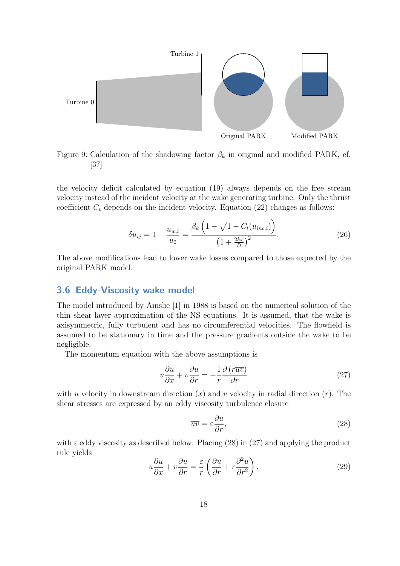<span id="page-24-1"></span>

Figure 9: Calculation of the shadowing factor  $\beta_k$  in original and modified PARK, cf. [\[37\]](#page-56-2)

the velocity deficit calculated by equation [\(19\)](#page-22-3) always depends on the free stream velocity instead of the incident velocity at the wake generating turbine. Only the thrust coefficient  $C_t$  depends on the incident velocity. Equation [\(22\)](#page-23-2) changes as follows:

$$
\delta u_{ij} = 1 - \frac{u_{w,i}}{u_0} = \frac{\beta_k \left(1 - \sqrt{1 - C_t(u_{inc,i})}\right)}{\left(1 + \frac{2kx}{D}\right)^2}.
$$
 (26)

The above modifications lead to lower wake losses compared to those expected by the original PARK model.

#### <span id="page-24-0"></span>3.6 Eddy-Viscosity wake model

The model introduced by [Ainslie](#page-54-3) [\[1\]](#page-54-3) in 1988 is based on the numerical solution of the thin shear layer approximation of the NS equations. It is assumed, that the wake is axisymmetric, fully turbulent and has no circumferential velocities. The flowfield is assumed to be stationary in time and the pressure gradients outside the wake to be negligible.

The momentum equation with the above assumptions is

<span id="page-24-3"></span>
$$
u\frac{\partial u}{\partial x} + v\frac{\partial u}{\partial r} = -\frac{1}{r}\frac{\partial (r\overline{uv})}{\partial r}
$$
 (27)

with u velocity in downstream direction  $(x)$  and v velocity in radial direction  $(r)$ . The shear stresses are expressed by an eddy viscosity turbulence closure

<span id="page-24-2"></span>
$$
-\overline{uv} = \varepsilon \frac{\partial u}{\partial r},\tag{28}
$$

with  $\varepsilon$  eddy viscosity as described below. Placing [\(28\)](#page-24-2) in [\(27\)](#page-24-3) and applying the product rule yields

<span id="page-24-4"></span>
$$
u\frac{\partial u}{\partial x} + v\frac{\partial u}{\partial r} = \frac{\varepsilon}{r} \left( \frac{\partial u}{\partial r} + r\frac{\partial^2 u}{\partial r^2} \right).
$$
 (29)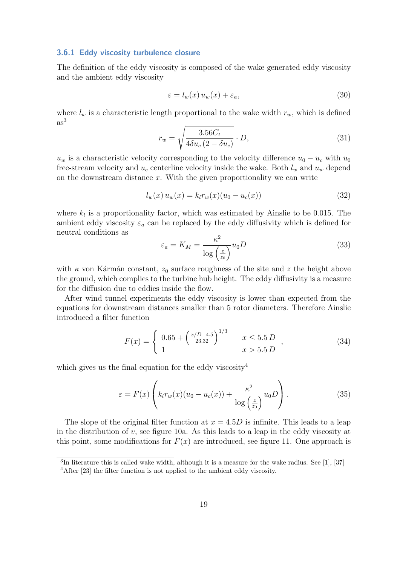#### <span id="page-25-0"></span>3.6.1 Eddy viscosity turbulence closure

The definition of the eddy viscosity is composed of the wake generated eddy viscosity and the ambient eddy viscosity

$$
\varepsilon = l_w(x) u_w(x) + \varepsilon_a,\tag{30}
$$

where  $l_w$  is a characteristic length proportional to the wake width  $r_w$ , which is defined  $as<sup>3</sup>$  $as<sup>3</sup>$  $as<sup>3</sup>$ 

<span id="page-25-4"></span>
$$
r_w = \sqrt{\frac{3.56C_t}{4\delta u_c (2 - \delta u_c)}} \cdot D,\tag{31}
$$

 $u_w$  is a characteristic velocity corresponding to the velocity difference  $u_0 - u_c$  with  $u_0$ free-stream velocity and  $u_c$  centerline velocity inside the wake. Both  $l_w$  and  $u_w$  depend on the downstream distance  $x$ . With the given proportionality we can write

$$
l_w(x) u_w(x) = k_l r_w(x) (u_0 - u_c(x))
$$
\n(32)

where  $k_l$  is a proportionality factor, which was estimated by [Ainslie](#page-54-3) to be 0.015. The ambient eddy viscosity  $\varepsilon_a$  can be replaced by the eddy diffusivity which is defined for neutral conditions as

$$
\varepsilon_a = K_M = \frac{\kappa^2}{\log\left(\frac{z}{z_0}\right)} u_0 D \tag{33}
$$

with  $\kappa$  von Kármán constant,  $z_0$  surface roughness of the site and z the height above the ground, which complies to the turbine hub height. The eddy diffusivity is a measure for the diffusion due to eddies inside the flow.

After wind tunnel experiments the eddy viscosity is lower than expected from the equations for downstream distances smaller than 5 rotor diameters. Therefore [Ainslie](#page-54-3) introduced a filter function

<span id="page-25-3"></span>
$$
F(x) = \begin{cases} 0.65 + \left(\frac{x/D - 4.5}{23.32}\right)^{1/3} & x \le 5.5 D \\ 1 & x > 5.5 D \end{cases},
$$
 (34)

which gives us the final equation for the eddy viscosity<sup>[4](#page-25-2)</sup>

$$
\varepsilon = F(x) \left( k_l r_w(x) (u_0 - u_c(x)) + \frac{\kappa^2}{\log \left( \frac{z}{z_0} \right)} u_0 D \right). \tag{35}
$$

The slope of the original filter function at  $x = 4.5D$  is infinite. This leads to a leap in the distribution of v, see figure [10a.](#page-26-0) As this leads to a leap in the eddy viscosity at this point, some modifications for  $F(x)$  are introduced, see figure [11.](#page-27-1) One approach is

<span id="page-25-1"></span><sup>&</sup>lt;sup>3</sup>In literature this is called wake width, although it is a measure for the wake radius. See [\[1\]](#page-54-3), [\[37\]](#page-56-2)

<span id="page-25-2"></span><sup>4</sup>After [\[23\]](#page-55-3) the filter function is not applied to the ambient eddy viscosity.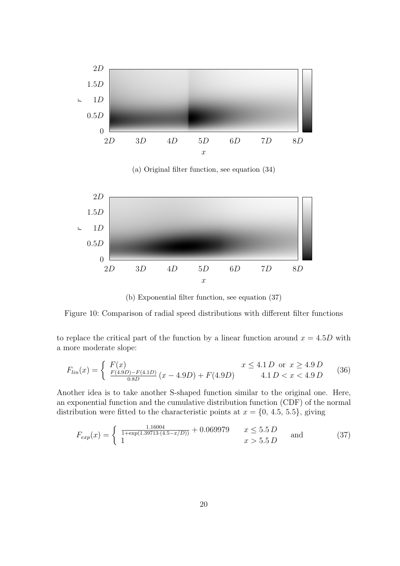<span id="page-26-0"></span>

(a) Original filter function, see equation [\(34\)](#page-25-3)



<span id="page-26-1"></span>(b) Exponential filter function, see equation [\(37\)](#page-26-1)

Figure 10: Comparison of radial speed distributions with different filter functions

to replace the critical part of the function by a linear function around  $x = 4.5D$  with a more moderate slope:

$$
F_{lin}(x) = \begin{cases} F(x) & x \le 4.1 D \text{ or } x \ge 4.9 D \\ \frac{F(4.9D) - F(4.1D)}{0.8D} (x - 4.9D) + F(4.9D) & 4.1 D < x < 4.9 D \end{cases} \tag{36}
$$

Another idea is to take another S-shaped function similar to the original one. Here, an exponential function and the cumulative distribution function (CDF) of the normal distribution were fitted to the characteristic points at  $x = \{0, 4.5, 5.5\}$ , giving

$$
F_{exp}(x) = \begin{cases} \frac{1.16004}{1 + \exp(1.39713 \cdot (4.5 - x/D))} + 0.069979 & x \le 5.5 D \\ 1 & x > 5.5 D \end{cases} \text{ and } (37)
$$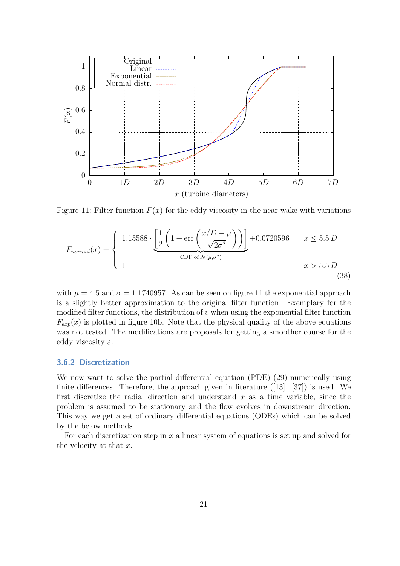<span id="page-27-1"></span>

Figure 11: Filter function  $F(x)$  for the eddy viscosity in the near-wake with variations

$$
F_{normal}(x) = \begin{cases} 1.15588 \cdot \underbrace{\left[\frac{1}{2} \left(1 + \text{erf}\left(\frac{x/D - \mu}{\sqrt{2\sigma^2}}\right)\right)\right]}_{\text{CDF of } \mathcal{N}(\mu, \sigma^2)} + 0.0720596 & x \le 5.5 D\\ 1 & x > 5.5 D \end{cases}
$$
(38)

with  $\mu = 4.5$  and  $\sigma = 1.1740957$ . As can be seen on figure [11](#page-27-1) the exponential approach is a slightly better approximation to the original filter function. Exemplary for the modified filter functions, the distribution of  $v$  when using the exponential filter function  $F_{exp}(x)$  is plotted in figure [10b.](#page-26-0) Note that the physical quality of the above equations was not tested. The modifications are proposals for getting a smoother course for the eddy viscosity  $\varepsilon$ .

#### <span id="page-27-0"></span>3.6.2 Discretization

We now want to solve the partial differential equation (PDE) [\(29\)](#page-24-4) numerically using finite differences. Therefore, the approach given in literature ([\[13\]](#page-54-12). [\[37\]](#page-56-2)) is used. We first discretize the radial direction and understand  $x$  as a time variable, since the problem is assumed to be stationary and the flow evolves in downstream direction. This way we get a set of ordinary differential equations (ODEs) which can be solved by the below methods.

For each discretization step in  $x$  a linear system of equations is set up and solved for the velocity at that  $x$ .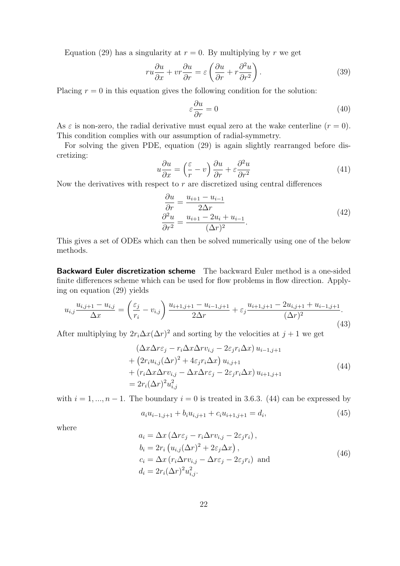Equation [\(29\)](#page-24-4) has a singularity at  $r = 0$ . By multiplying by r we get

$$
ru\frac{\partial u}{\partial x} + vr\frac{\partial u}{\partial r} = \varepsilon \left(\frac{\partial u}{\partial r} + r\frac{\partial^2 u}{\partial r^2}\right).
$$
 (39)

Placing  $r = 0$  in this equation gives the following condition for the solution:

<span id="page-28-2"></span>
$$
\varepsilon \frac{\partial u}{\partial r} = 0 \tag{40}
$$

As  $\varepsilon$  is non-zero, the radial derivative must equal zero at the wake centerline  $(r = 0)$ . This condition complies with our assumption of radial-symmetry.

For solving the given PDE, equation [\(29\)](#page-24-4) is again slightly rearranged before discretizing:

$$
u\frac{\partial u}{\partial x} = \left(\frac{\varepsilon}{r} - v\right)\frac{\partial u}{\partial r} + \varepsilon \frac{\partial^2 u}{\partial r^2}
$$
(41)

Now the derivatives with respect to  $r$  are discretized using central differences

$$
\frac{\partial u}{\partial r} = \frac{u_{i+1} - u_{i-1}}{2\Delta r}
$$
  

$$
\frac{\partial^2 u}{\partial r^2} = \frac{u_{i+1} - 2u_i + u_{i-1}}{(\Delta r)^2}.
$$
 (42)

This gives a set of ODEs which can then be solved numerically using one of the below methods.

Backward Euler discretization scheme The backward Euler method is a one-sided finite differences scheme which can be used for flow problems in flow direction. Applying on equation [\(29\)](#page-24-4) yields

$$
u_{i,j} \frac{u_{i,j+1} - u_{i,j}}{\Delta x} = \left(\frac{\varepsilon_j}{r_i} - v_{i,j}\right) \frac{u_{i+1,j+1} - u_{i-1,j+1}}{2\Delta r} + \varepsilon_j \frac{u_{i+1,j+1} - 2u_{i,j+1} + u_{i-1,j+1}}{(\Delta r)^2}.
$$
\n(43)

After multiplying by  $2r_i\Delta x(\Delta r)^2$  and sorting by the velocities at  $j+1$  we get

<span id="page-28-0"></span>
$$
\begin{aligned} \left(\Delta x \Delta r \varepsilon_j - r_i \Delta x \Delta r v_{i,j} - 2\varepsilon_j r_i \Delta x\right) u_{i-1,j+1} \\ &+ \left(2r_i u_{i,j} (\Delta r)^2 + 4\varepsilon_j r_i \Delta x\right) u_{i,j+1} \\ &+ \left(r_i \Delta x \Delta r v_{i,j} - \Delta x \Delta r \varepsilon_j - 2\varepsilon_j r_i \Delta x\right) u_{i+1,j+1} \\ &= 2r_i (\Delta r)^2 u_{i,j}^2 \end{aligned} \tag{44}
$$

with  $i = 1, ..., n - 1$ . The boundary  $i = 0$  is treated in [3.6.3.](#page-30-0) [\(44\)](#page-28-0) can be expressed by

<span id="page-28-1"></span>
$$
a_i u_{i-1,j+1} + b_i u_{i,j+1} + c_i u_{i+1,j+1} = d_i,
$$
\n(45)

where

$$
a_i = \Delta x \left( \Delta r \varepsilon_j - r_i \Delta r v_{i,j} - 2 \varepsilon_j r_i \right),
$$
  
\n
$$
b_i = 2r_i \left( u_{i,j} (\Delta r)^2 + 2 \varepsilon_j \Delta x \right),
$$
  
\n
$$
c_i = \Delta x \left( r_i \Delta r v_{i,j} - \Delta r \varepsilon_j - 2 \varepsilon_j r_i \right) \text{ and}
$$
  
\n
$$
d_i = 2r_i (\Delta r)^2 u_{i,j}^2.
$$
\n(46)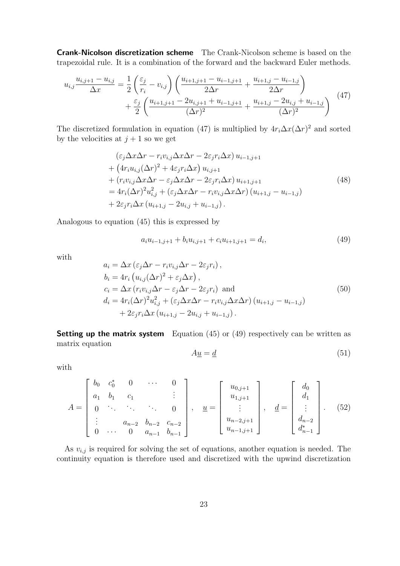Crank-Nicolson discretization scheme The Crank-Nicolson scheme is based on the trapezoidal rule. It is a combination of the forward and the backward Euler methods.

<span id="page-29-0"></span>
$$
u_{i,j} \frac{u_{i,j+1} - u_{i,j}}{\Delta x} = \frac{1}{2} \left( \frac{\varepsilon_j}{r_i} - v_{i,j} \right) \left( \frac{u_{i+1,j+1} - u_{i-1,j+1}}{2\Delta r} + \frac{u_{i+1,j} - u_{i-1,j}}{2\Delta r} \right) + \frac{\varepsilon_j}{2} \left( \frac{u_{i+1,j+1} - 2u_{i,j+1} + u_{i-1,j+1}}{(\Delta r)^2} + \frac{u_{i+1,j} - 2u_{i,j} + u_{i-1,j}}{(\Delta r)^2} \right)
$$
(47)

The discretized formulation in equation [\(47\)](#page-29-0) is multiplied by  $4r_i\Delta x(\Delta r)^2$  and sorted by the velocities at  $j + 1$  so we get

$$
\begin{split}\n&\left(\varepsilon_{j}\Delta x\Delta r - r_{i}v_{i,j}\Delta x\Delta r - 2\varepsilon_{j}r_{i}\Delta x\right)u_{i-1,j+1} \\
&+ \left(4r_{i}u_{i,j}(\Delta r)^{2} + 4\varepsilon_{j}r_{i}\Delta x\right)u_{i,j+1} \\
&+ \left(r_{i}v_{i,j}\Delta x\Delta r - \varepsilon_{j}\Delta x\Delta r - 2\varepsilon_{j}r_{i}\Delta x\right)u_{i+1,j+1} \\
&= 4r_{i}(\Delta r)^{2}u_{i,j}^{2} + \left(\varepsilon_{j}\Delta x\Delta r - r_{i}v_{i,j}\Delta x\Delta r\right)\left(u_{i+1,j} - u_{i-1,j}\right) \\
&+ 2\varepsilon_{j}r_{i}\Delta x\left(u_{i+1,j} - 2u_{i,j} + u_{i-1,j}\right).\n\end{split}
$$
\n
$$
(48)
$$

Analogous to equation [\(45\)](#page-28-1) this is expressed by

<span id="page-29-1"></span>
$$
a_i u_{i-1,j+1} + b_i u_{i,j+1} + c_i u_{i+1,j+1} = d_i,
$$
\n(49)

with

$$
a_i = \Delta x \left( \varepsilon_j \Delta r - r_i v_{i,j} \Delta r - 2\varepsilon_j r_i \right),
$$
  
\n
$$
b_i = 4r_i \left( u_{i,j} (\Delta r)^2 + \varepsilon_j \Delta x \right),
$$
  
\n
$$
c_i = \Delta x \left( r_i v_{i,j} \Delta r - \varepsilon_j \Delta r - 2\varepsilon_j r_i \right) \text{ and}
$$
  
\n
$$
d_i = 4r_i (\Delta r)^2 u_{i,j}^2 + \left( \varepsilon_j \Delta x \Delta r - r_i v_{i,j} \Delta x \Delta r \right) \left( u_{i+1,j} - u_{i-1,j} \right)
$$
  
\n
$$
+ 2\varepsilon_j r_i \Delta x \left( u_{i+1,j} - 2u_{i,j} + u_{i-1,j} \right).
$$
\n(50)

**Setting up the matrix system** Equation  $(45)$  or  $(49)$  respectively can be written as matrix equation

<span id="page-29-2"></span>
$$
A\underline{u} = \underline{d} \tag{51}
$$

with

<span id="page-29-3"></span>
$$
A = \begin{bmatrix} b_0 & c_0^* & 0 & \cdots & 0 \\ a_1 & b_1 & c_1 & & \vdots \\ 0 & \ddots & \ddots & \ddots & 0 \\ \vdots & & a_{n-2} & b_{n-2} & c_{n-2} \\ 0 & \cdots & 0 & a_{n-1} & b_{n-1} \end{bmatrix}, \quad \underline{u} = \begin{bmatrix} u_{0,j+1} \\ u_{1,j+1} \\ \vdots \\ u_{n-2,j+1} \\ u_{n-1,j+1} \end{bmatrix}, \quad \underline{d} = \begin{bmatrix} d_0 \\ d_1 \\ \vdots \\ d_{n-2} \\ d_{n-1} \end{bmatrix}.
$$
 (52)

As  $v_{i,j}$  is required for solving the set of equations, another equation is needed. The continuity equation is therefore used and discretized with the upwind discretization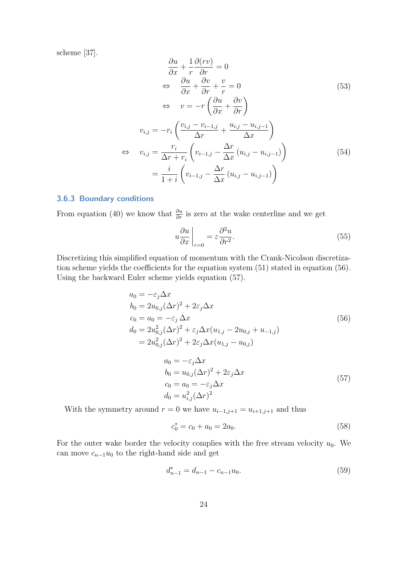scheme [\[37\]](#page-56-2).

$$
\frac{\partial u}{\partial x} + \frac{1}{r} \frac{\partial (rv)}{\partial r} = 0
$$
\n
$$
\Leftrightarrow \frac{\partial u}{\partial x} + \frac{\partial v}{\partial r} + \frac{v}{r} = 0
$$
\n
$$
\Leftrightarrow v = -r \left( \frac{\partial u}{\partial x} + \frac{\partial v}{\partial r} \right)
$$
\n
$$
v_{i,j} = -r_i \left( \frac{v_{i,j} - v_{i-1,j}}{\Delta r} + \frac{u_{i,j} - u_{i,j-1}}{\Delta x} \right)
$$
\n
$$
\Leftrightarrow v_{i,j} = \frac{r_i}{\Delta r + r_i} \left( v_{i-1,j} - \frac{\Delta r}{\Delta x} (u_{i,j} - u_{i,j-1}) \right)
$$
\n
$$
= \frac{i}{1+i} \left( v_{i-1,j} - \frac{\Delta r}{\Delta x} (u_{i,j} - u_{i,j-1}) \right)
$$
\n(54)

#### <span id="page-30-0"></span>3.6.3 Boundary conditions

From equation [\(40\)](#page-28-2) we know that  $\frac{\partial u}{\partial r}$  is zero at the wake centerline and we get

$$
u\frac{\partial u}{\partial x}\Big|_{r=0} = \varepsilon \frac{\partial^2 u}{\partial r^2}.\tag{55}
$$

Discretizing this simplified equation of momentum with the Crank-Nicolson discretiza-tion scheme yields the coefficients for the equation system [\(51\)](#page-29-2) stated in equation [\(56\)](#page-30-1). Using the backward Euler scheme yields equation [\(57\)](#page-30-2).

<span id="page-30-1"></span>
$$
a_0 = -\varepsilon_j \Delta x
$$
  
\n
$$
b_0 = 2u_{0,j}(\Delta r)^2 + 2\varepsilon_j \Delta x
$$
  
\n
$$
c_0 = a_0 = -\varepsilon_j \Delta x
$$
  
\n
$$
d_0 = 2u_{0,j}^2(\Delta r)^2 + \varepsilon_j \Delta x (u_{1,j} - 2u_{0,j} + u_{-1,j})
$$
  
\n
$$
= 2u_{0,j}^2(\Delta r)^2 + 2\varepsilon_j \Delta x (u_{1,j} - u_{0,j})
$$
  
\n
$$
a_0 = -\varepsilon_j \Delta x
$$
  
\n
$$
b_0 = u_{0,j}(\Delta r)^2 + 2\varepsilon_j \Delta x
$$
  
\n
$$
c_0 = a_0 = -\varepsilon_j \Delta x
$$
  
\n
$$
d_0 = u_{i,j}^2(\Delta r)^2
$$
  
\n(57)

With the symmetry around  $r = 0$  we have  $u_{i-1,j+1} = u_{i+1,j+1}$  and thus

<span id="page-30-2"></span>
$$
c_0^* = c_0 + a_0 = 2a_0. \tag{58}
$$

For the outer wake border the velocity complies with the free stream velocity  $u_0$ . We can move  $c_{n-1}u_0$  to the right-hand side and get

$$
d_{n-1}^* = d_{n-1} - c_{n-1}u_0.
$$
\n<sup>(59)</sup>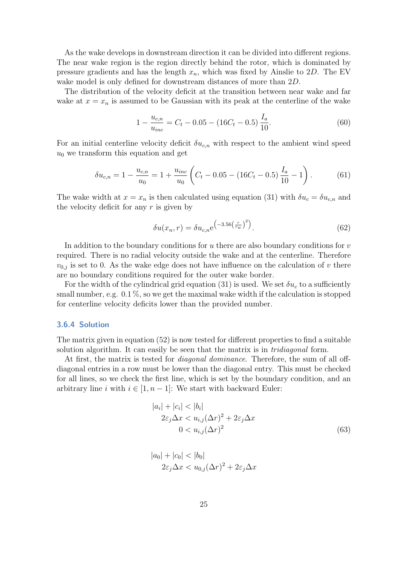As the wake develops in downstream direction it can be divided into different regions. The near wake region is the region directly behind the rotor, which is dominated by pressure gradients and has the length  $x_n$ , which was fixed by [Ainslie](#page-54-3) to 2D. The EV wake model is only defined for downstream distances of more than 2D.

The distribution of the velocity deficit at the transition between near wake and far wake at  $x = x_n$  is assumed to be Gaussian with its peak at the centerline of the wake

$$
1 - \frac{u_{c,n}}{u_{inc}} = C_t - 0.05 - (16C_t - 0.5) \frac{I_a}{10}.
$$
\n(60)

For an initial centerline velocity deficit  $\delta u_{c,n}$  with respect to the ambient wind speed  $u_0$  we transform this equation and get

$$
\delta u_{c,n} = 1 - \frac{u_{c,n}}{u_0} = 1 + \frac{u_{inc}}{u_0} \left( C_t - 0.05 - (16C_t - 0.5) \frac{I_a}{10} - 1 \right). \tag{61}
$$

The wake width at  $x = x_n$  is then calculated using equation [\(31\)](#page-25-4) with  $\delta u_c = \delta u_{c,n}$  and the velocity deficit for any  $r$  is given by

<span id="page-31-1"></span>
$$
\delta u(x_n, r) = \delta u_{c,n} e^{-3.56(\frac{r}{rw})^2}.
$$
\n(62)

In addition to the boundary conditions for  $u$  there are also boundary conditions for  $v$ required. There is no radial velocity outside the wake and at the centerline. Therefore  $v_{0,j}$  is set to 0. As the wake edge does not have influence on the calculation of v there are no boundary conditions required for the outer wake border.

For the width of the cylindrical grid equation [\(31\)](#page-25-4) is used. We set  $\delta u_c$  to a sufficiently small number, e.g.  $0.1\%$ , so we get the maximal wake width if the calculation is stopped for centerline velocity deficits lower than the provided number.

#### <span id="page-31-0"></span>3.6.4 Solution

The matrix given in equation [\(52\)](#page-29-3) is now tested for different properties to find a suitable solution algorithm. It can easily be seen that the matrix is in *tridiagonal* form.

At first, the matrix is tested for diagonal dominance. Therefore, the sum of all offdiagonal entries in a row must be lower than the diagonal entry. This must be checked for all lines, so we check the first line, which is set by the boundary condition, and an arbitrary line i with  $i \in [1, n-1]$ : We start with backward Euler:

$$
|a_i| + |c_i| < |b_i|
$$
\n
$$
2\varepsilon_j \Delta x < u_{i,j} (\Delta r)^2 + 2\varepsilon_j \Delta x
$$
\n
$$
0 < u_{i,j} (\Delta r)^2 \tag{63}
$$

$$
|a_0| + |c_0| < |b_0|
$$
\n
$$
2\varepsilon_j \Delta x < u_{0,j} (\Delta r)^2 + 2\varepsilon_j \Delta x
$$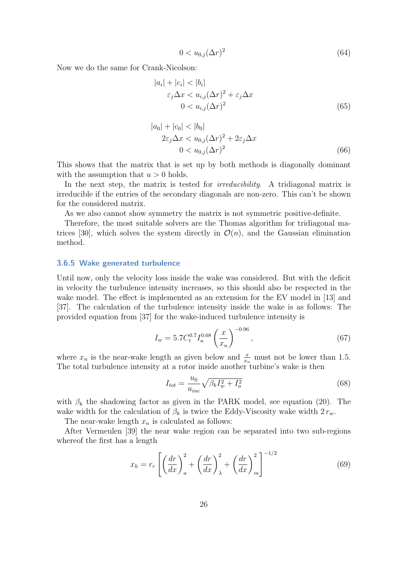$$
0 < u_{0,j}(\Delta r)^2 \tag{64}
$$

Now we do the same for Crank-Nicolson:

$$
|a_i| + |c_i| < |b_i|
$$
\n
$$
\varepsilon_j \Delta x < u_{i,j} (\Delta r)^2 + \varepsilon_j \Delta x
$$
\n
$$
0 < u_{i,j} (\Delta r)^2 \tag{65}
$$

$$
|a_0| + |c_0| < |b_0|
$$
\n
$$
2\varepsilon_j \Delta x < u_{0,j}(\Delta r)^2 + 2\varepsilon_j \Delta x
$$
\n
$$
0 < u_{0,j}(\Delta r)^2 \tag{66}
$$

This shows that the matrix that is set up by both methods is diagonally dominant with the assumption that  $u > 0$  holds.

In the next step, the matrix is tested for *irreducibility*. A tridiagonal matrix is irreducible if the entries of the secondary diagonals are non-zero. This can't be shown for the considered matrix.

As we also cannot show symmetry the matrix is not symmetric positive-definite.

Therefore, the most suitable solvers are the Thomas algorithm for tridiagonal ma-trices [\[30\]](#page-56-10), which solves the system directly in  $\mathcal{O}(n)$ , and the Gaussian elimination method.

#### <span id="page-32-0"></span>3.6.5 Wake generated turbulence

Until now, only the velocity loss inside the wake was considered. But with the deficit in velocity the turbulence intensity increases, so this should also be respected in the wake model. The effect is implemented as an extension for the EV model in [\[13\]](#page-54-12) and [\[37\]](#page-56-2). The calculation of the turbulence intensity inside the wake is as follows: The provided equation from [\[37\]](#page-56-2) for the wake-induced turbulence intensity is

$$
I_w = 5.7 C_t^{0.7} I_a^{0.68} \left(\frac{x}{x_n}\right)^{-0.96},\tag{67}
$$

where  $x_n$  is the near-wake length as given below and  $\frac{x}{x_n}$  must not be lower than 1.5. The total turbulence intensity at a rotor inside another turbine's wake is then

$$
I_{tot} = \frac{u_0}{u_{inc}} \sqrt{\beta_k I_w^2 + I_a^2}
$$
 (68)

with  $\beta_k$  the shadowing factor as given in the PARK model, see equation [\(20\)](#page-23-3). The wake width for the calculation of  $\beta_k$  is twice the Eddy-Viscosity wake width  $2 r_w$ .

The near-wake length  $x_n$  is calculated as follows:

After [Vermeulen](#page-56-11) [\[39\]](#page-56-11) the near wake region can be separated into two sub-regions whereof the first has a length

$$
x_h = r_r \left[ \left( \frac{dr}{dx} \right)_a^2 + \left( \frac{dr}{dx} \right)_\lambda^2 + \left( \frac{dr}{dx} \right)_m^2 \right]^{-1/2} \tag{69}
$$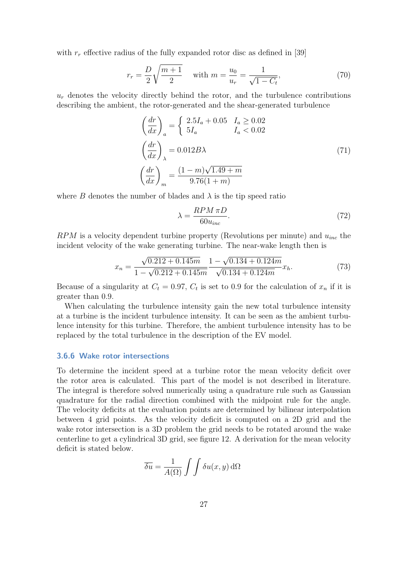with  $r_r$  effective radius of the fully expanded rotor disc as defined in [\[39\]](#page-56-11)

$$
r_r = \frac{D}{2} \sqrt{\frac{m+1}{2}} \quad \text{with } m = \frac{u_0}{u_r} = \frac{1}{\sqrt{1 - C_t}},\tag{70}
$$

 $u_r$  denotes the velocity directly behind the rotor, and the turbulence contributions describing the ambient, the rotor-generated and the shear-generated turbulence

$$
\left(\frac{dr}{dx}\right)_a = \begin{cases}\n2.5I_a + 0.05 & I_a \ge 0.02 \\
5I_a & I_a < 0.02\n\end{cases}
$$
\n
$$
\left(\frac{dr}{dx}\right)_\lambda = 0.012B\lambda
$$
\n
$$
\left(\frac{dr}{dx}\right)_m = \frac{(1-m)\sqrt{1.49+m}}{9.76(1+m)}
$$
\n(71)

where B denotes the number of blades and  $\lambda$  is the tip speed ratio

$$
\lambda = \frac{RPM \,\pi D}{60 u_{inc}}.\tag{72}
$$

 $RPM$  is a velocity dependent turbine property (Revolutions per minute) and  $u_{inc}$  the incident velocity of the wake generating turbine. The near-wake length then is

$$
x_n = \frac{\sqrt{0.212 + 0.145m}}{1 - \sqrt{0.212 + 0.145m}} \frac{1 - \sqrt{0.134 + 0.124m}}{\sqrt{0.134 + 0.124m}} x_h.
$$
(73)

Because of a singularity at  $C_t = 0.97$ ,  $C_t$  is set to 0.9 for the calculation of  $x_n$  if it is greater than 0.9.

When calculating the turbulence intensity gain the new total turbulence intensity at a turbine is the incident turbulence intensity. It can be seen as the ambient turbulence intensity for this turbine. Therefore, the ambient turbulence intensity has to be replaced by the total turbulence in the description of the EV model.

#### <span id="page-33-0"></span>3.6.6 Wake rotor intersections

To determine the incident speed at a turbine rotor the mean velocity deficit over the rotor area is calculated. This part of the model is not described in literature. The integral is therefore solved numerically using a quadrature rule such as Gaussian quadrature for the radial direction combined with the midpoint rule for the angle. The velocity deficits at the evaluation points are determined by bilinear interpolation between 4 grid points. As the velocity deficit is computed on a 2D grid and the wake rotor intersection is a 3D problem the grid needs to be rotated around the wake centerline to get a cylindrical 3D grid, see figure [12.](#page-34-0) A derivation for the mean velocity deficit is stated below.

$$
\overline{\delta u} = \frac{1}{A(\Omega)} \int \int \delta u(x, y) d\Omega
$$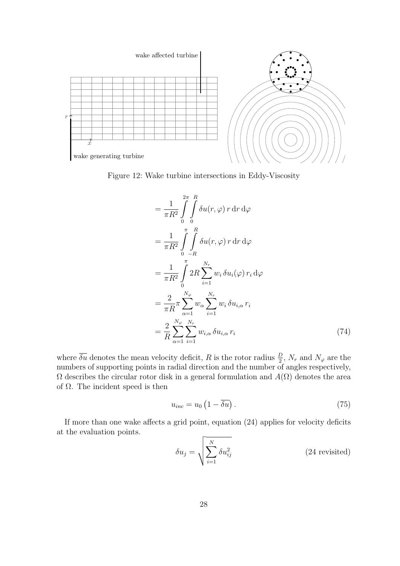<span id="page-34-0"></span>

Figure 12: Wake turbine intersections in Eddy-Viscosity

$$
= \frac{1}{\pi R^2} \int_{0}^{2\pi} \int_{0}^{R} \delta u(r, \varphi) r \, dr \, d\varphi
$$
  
\n
$$
= \frac{1}{\pi R^2} \int_{0}^{\pi} \int_{-R}^{R} \delta u(r, \varphi) r \, dr \, d\varphi
$$
  
\n
$$
= \frac{1}{\pi R^2} \int_{0}^{\pi} 2R \sum_{i=1}^{N_r} w_i \, \delta u_i(\varphi) r_i \, d\varphi
$$
  
\n
$$
= \frac{2}{\pi R} \sum_{\alpha=1}^{N_{\varphi}} w_\alpha \sum_{i=1}^{N_r} w_i \, \delta u_{i,\alpha} r_i
$$
  
\n
$$
= \frac{2}{R} \sum_{\alpha=1}^{N_{\varphi}} \sum_{i=1}^{N_r} w_{i,\alpha} \, \delta u_{i,\alpha} r_i
$$
(74)

where  $\overline{\delta u}$  denotes the mean velocity deficit, R is the rotor radius  $\frac{D}{2}$ , N<sub>r</sub> and N<sub>\peq</sub> are the numbers of supporting points in radial direction and the number of angles respectively,  $\Omega$  describes the circular rotor disk in a general formulation and  $A(\Omega)$  denotes the area of  $\Omega$ . The incident speed is then

<span id="page-34-1"></span>
$$
u_{inc} = u_0 \left( 1 - \overline{\delta u} \right). \tag{75}
$$

If more than one wake affects a grid point, equation [\(24\)](#page-23-1) applies for velocity deficits at the evaluation points.

$$
\delta u_j = \sqrt{\sum_{i=1}^{N} \delta u_{ij}^2}
$$
 (24 revisited)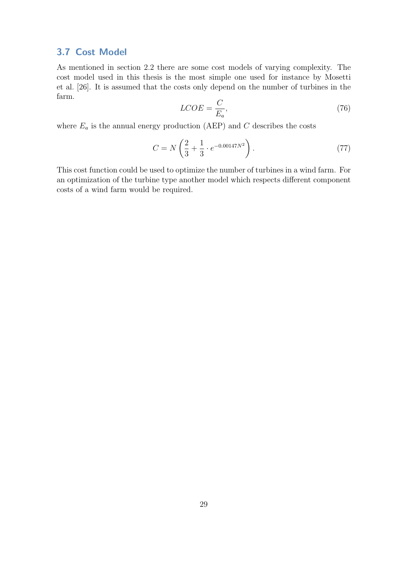#### <span id="page-35-0"></span>3.7 Cost Model

As mentioned in section [2.2](#page-8-2) there are some cost models of varying complexity. The cost model used in this thesis is the most simple one used for instance by [Mosetti](#page-55-6) [et al.](#page-55-6) [\[26\]](#page-55-6). It is assumed that the costs only depend on the number of turbines in the farm.

$$
LCOE = \frac{C}{E_a},\tag{76}
$$

where  $E_a$  is the annual energy production (AEP) and  $C$  describes the costs

$$
C = N\left(\frac{2}{3} + \frac{1}{3} \cdot e^{-0.00147N^2}\right). \tag{77}
$$

This cost function could be used to optimize the number of turbines in a wind farm. For an optimization of the turbine type another model which respects different component costs of a wind farm would be required.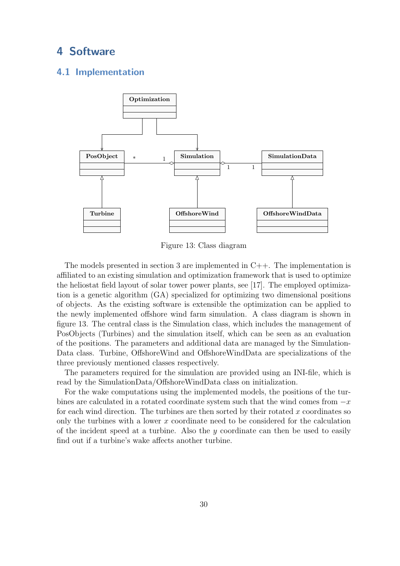## <span id="page-36-0"></span>4 Software

#### <span id="page-36-1"></span>4.1 Implementation

<span id="page-36-3"></span>

Figure 13: Class diagram

The models presented in section [3](#page-11-0) are implemented in  $C_{++}$ . The implementation is affiliated to an existing simulation and optimization framework that is used to optimize the heliostat field layout of solar tower power plants, see [\[17\]](#page-55-8). The employed optimization is a genetic algorithm (GA) specialized for optimizing two dimensional positions of objects. As the existing software is extensible the optimization can be applied to the newly implemented offshore wind farm simulation. A class diagram is shown in figure [13.](#page-36-3) The central class is the Simulation class, which includes the management of PosObjects (Turbines) and the simulation itself, which can be seen as an evaluation of the positions. The parameters and additional data are managed by the Simulation-Data class. Turbine, OffshoreWind and OffshoreWindData are specializations of the three previously mentioned classes respectively.

The parameters required for the simulation are provided using an INI-file, which is read by the SimulationData/OffshoreWindData class on initialization.

<span id="page-36-2"></span>For the wake computations using the implemented models, the positions of the turbines are calculated in a rotated coordinate system such that the wind comes from −x for each wind direction. The turbines are then sorted by their rotated  $x$  coordinates so only the turbines with a lower x coordinate need to be considered for the calculation of the incident speed at a turbine. Also the  $y$  coordinate can then be used to easily find out if a turbine's wake affects another turbine.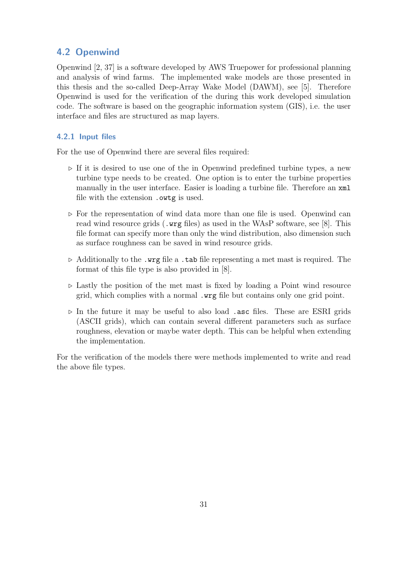#### 4.2 Openwind

Openwind [\[2,](#page-54-13) [37\]](#page-56-2) is a software developed by AWS Truepower for professional planning and analysis of wind farms. The implemented wake models are those presented in this thesis and the so-called Deep-Array Wake Model (DAWM), see [\[5\]](#page-54-4). Therefore Openwind is used for the verification of the during this work developed simulation code. The software is based on the geographic information system (GIS), i.e. the user interface and files are structured as map layers.

#### <span id="page-37-0"></span>4.2.1 Input files

For the use of Openwind there are several files required:

- $\triangleright$  If it is desired to use one of the in Openwind predefined turbine types, a new turbine type needs to be created. One option is to enter the turbine properties manually in the user interface. Easier is loading a turbine file. Therefore an xml file with the extension .owtg is used.
- $\triangleright$  For the representation of wind data more than one file is used. Openwind can read wind resource grids (.wrg files) as used in the WAsP software, see [\[8\]](#page-54-8). This file format can specify more than only the wind distribution, also dimension such as surface roughness can be saved in wind resource grids.
- $\triangleright$  Additionally to the .wrg file a .tab file representing a met mast is required. The format of this file type is also provided in [\[8\]](#page-54-8).
- $\triangleright$  Lastly the position of the met mast is fixed by loading a Point wind resource grid, which complies with a normal .wrg file but contains only one grid point.
- $\triangleright$  In the future it may be useful to also load .asc files. These are ESRI grids (ASCII grids), which can contain several different parameters such as surface roughness, elevation or maybe water depth. This can be helpful when extending the implementation.

For the verification of the models there were methods implemented to write and read the above file types.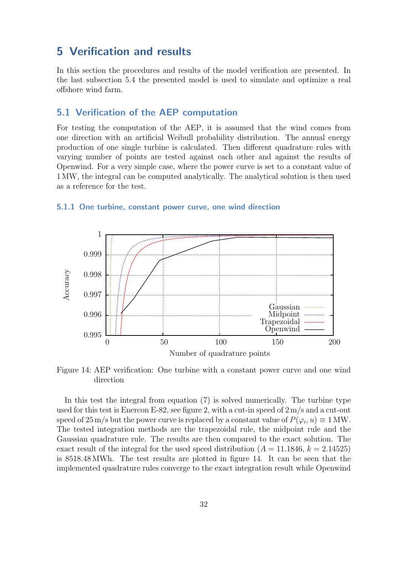### <span id="page-38-0"></span>5 Verification and results

In this section the procedures and results of the model verification are presented. In the last subsection [5.4](#page-49-0) the presented model is used to simulate and optimize a real offshore wind farm.

#### <span id="page-38-1"></span>5.1 Verification of the AEP computation

For testing the computation of the AEP, it is assumed that the wind comes from one direction with an artificial Weibull probability distribution. The annual energy production of one single turbine is calculated. Then different quadrature rules with varying number of points are tested against each other and against the results of Openwind. For a very simple case, where the power curve is set to a constant value of 1 MW, the integral can be computed analytically. The analytical solution is then used as a reference for the test.

### <span id="page-38-3"></span>0.995 0.996 0.997 0.998 0.999 1 0 50 100 150 200 **A**ccuracy Number of quadrature points Gaussian Midpoint Trapezoidal Openwind

#### <span id="page-38-2"></span>5.1.1 One turbine, constant power curve, one wind direction

Figure 14: AEP verification: One turbine with a constant power curve and one wind direction

In this test the integral from equation [\(7\)](#page-20-1) is solved numerically. The turbine type used for this test is Enercon E-82, see figure [2,](#page-12-1) with a cut-in speed of 2 m/s and a cut-out speed of 25 m/s but the power curve is replaced by a constant value of  $P(\varphi_i, u) \equiv 1 \text{ MW}$ . The tested integration methods are the trapezoidal rule, the midpoint rule and the Gaussian quadrature rule. The results are then compared to the exact solution. The exact result of the integral for the used speed distribution  $(A = 11.1846, k = 2.14525)$ is 8518.48 MWh. The test results are plotted in figure [14.](#page-38-3) It can be seen that the implemented quadrature rules converge to the exact integration result while Openwind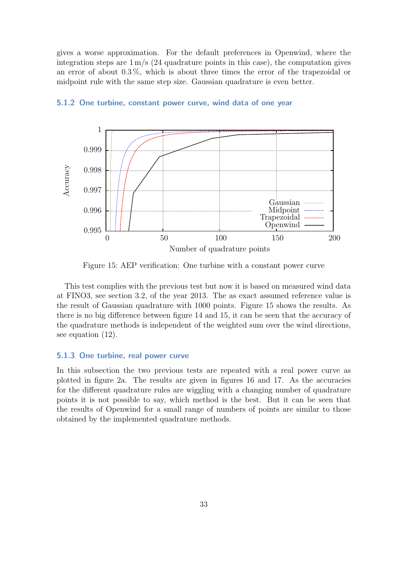gives a worse approximation. For the default preferences in Openwind, where the integration steps are  $1 \text{ m/s}$  (24 quadrature points in this case), the computation gives an error of about 0.3 %, which is about three times the error of the trapezoidal or midpoint rule with the same step size. Gaussian quadrature is even better.

<span id="page-39-2"></span>

#### <span id="page-39-0"></span>5.1.2 One turbine, constant power curve, wind data of one year

Figure 15: AEP verification: One turbine with a constant power curve

This test complies with the previous test but now it is based on measured wind data at FINO3, see section [3.2,](#page-12-0) of the year 2013. The as exact assumed reference value is the result of Gaussian quadrature with 1000 points. Figure [15](#page-39-2) shows the results. As there is no big difference between figure [14](#page-38-3) and [15,](#page-39-2) it can be seen that the accuracy of the quadrature methods is independent of the weighted sum over the wind directions, see equation [\(12\)](#page-21-2).

#### <span id="page-39-1"></span>5.1.3 One turbine, real power curve

In this subsection the two previous tests are repeated with a real power curve as plotted in figure [2a.](#page-12-1) The results are given in figures [16](#page-40-0) and [17.](#page-40-1) As the accuracies for the different quadrature rules are wiggling with a changing number of quadrature points it is not possible to say, which method is the best. But it can be seen that the results of Openwind for a small range of numbers of points are similar to those obtained by the implemented quadrature methods.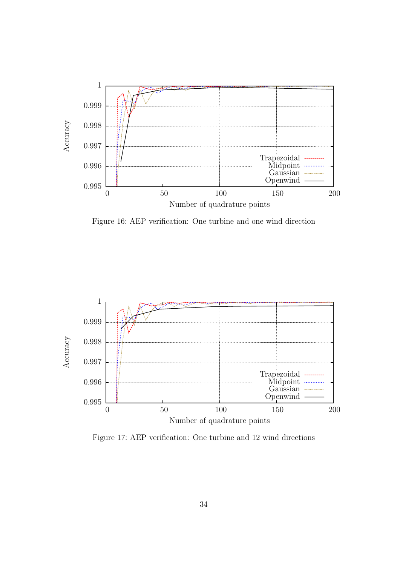<span id="page-40-0"></span>

Figure 16: AEP verification: One turbine and one wind direction

<span id="page-40-1"></span>

Figure 17: AEP verification: One turbine and 12 wind directions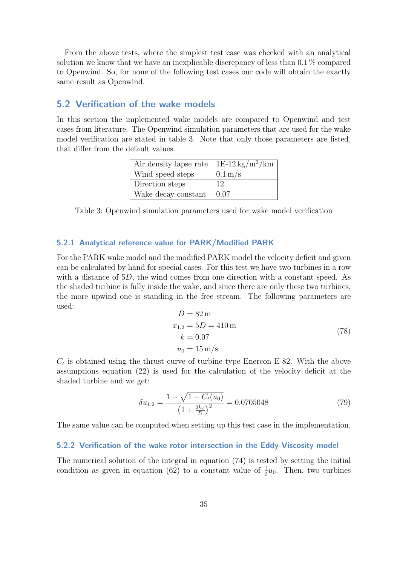From the above tests, where the simplest test case was checked with an analytical solution we know that we have an inexplicable discrepancy of less than 0.1 % compared to Openwind. So, for none of the following test cases our code will obtain the exactly same result as Openwind.

#### <span id="page-41-0"></span>5.2 Verification of the wake models

<span id="page-41-3"></span>In this section the implemented wake models are compared to Openwind and test cases from literature. The Openwind simulation parameters that are used for the wake model verification are stated in table [3.](#page-41-3) Note that only those parameters are listed, that differ from the default values.

| Air density lapse rate   $1E-12 \text{ kg/m}^3/\text{km}$ |                      |
|-----------------------------------------------------------|----------------------|
| Wind speed steps                                          | $0.1 \,\mathrm{m/s}$ |
| Direction steps                                           | 12                   |
| Wake decay constant                                       | $\pm 0.07$           |

Table 3: Openwind simulation parameters used for wake model verification

#### <span id="page-41-1"></span>5.2.1 Analytical reference value for PARK/Modified PARK

For the PARK wake model and the modified PARK model the velocity deficit and given can be calculated by hand for special cases. For this test we have two turbines in a row with a distance of 5D, the wind comes from one direction with a constant speed. As the shaded turbine is fully inside the wake, and since there are only these two turbines, the more upwind one is standing in the free stream. The following parameters are used:

$$
D = 82 \,\mathrm{m}
$$
  
\n
$$
x_{1,2} = 5D = 410 \,\mathrm{m}
$$
  
\n
$$
k = 0.07
$$
  
\n
$$
u_0 = 15 \,\mathrm{m/s}
$$
\n(78)

 $C_t$  is obtained using the thrust curve of turbine type Enercon E-82. With the above assumptions equation [\(22\)](#page-23-2) is used for the calculation of the velocity deficit at the shaded turbine and we get:

$$
\delta u_{1,2} = \frac{1 - \sqrt{1 - C_t(u_0)}}{\left(1 + \frac{2kx}{D}\right)^2} = 0.0705048\tag{79}
$$

The same value can be computed when setting up this test case in the implementation.

#### <span id="page-41-2"></span>5.2.2 Verification of the wake rotor intersection in the Eddy-Viscosity model

The numerical solution of the integral in equation [\(74\)](#page-34-1) is tested by setting the initial condition as given in equation [\(62\)](#page-31-1) to a constant value of  $\frac{1}{2}u_0$ . Then, two turbines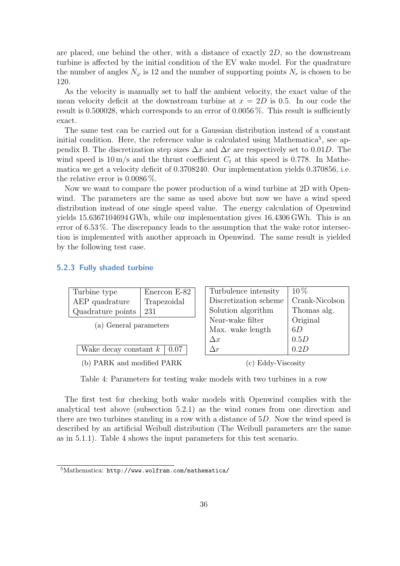are placed, one behind the other, with a distance of exactly  $2D$ , so the downstream turbine is affected by the initial condition of the EV wake model. For the quadrature the number of angles  $N_{\varphi}$  is 12 and the number of supporting points  $N_r$  is chosen to be 120.

As the velocity is manually set to half the ambient velocity, the exact value of the mean velocity deficit at the downstream turbine at  $x = 2D$  is 0.5. In our code the result is 0.500028, which corresponds to an error of 0.0056 %. This result is sufficiently exact.

The same test can be carried out for a Gaussian distribution instead of a constant initial condition. Here, the reference value is calculated using Mathematica<sup>[5](#page-42-2)</sup>, see appendix B. The discretization step sizes  $\Delta x$  and  $\Delta r$  are respectively set to 0.01D. The wind speed is  $10 \text{ m/s}$  and the thrust coefficient  $C_t$  at this speed is 0.778. In Mathematica we get a velocity deficit of 0.3708240. Our implementation yields 0.370856, i.e. the relative error is 0.0086 %.

Now we want to compare the power production of a wind turbine at 2D with Openwind. The parameters are the same as used above but now we have a wind speed distribution instead of one single speed value. The energy calculation of Openwind yields 15.6367104694 GWh, while our implementation gives 16.4306 GWh. This is an error of 6.53 %. The discrepancy leads to the assumption that the wake rotor intersection is implemented with another approach in Openwind. The same result is yielded by the following test case.

#### <span id="page-42-0"></span>5.2.3 Fully shaded turbine

<span id="page-42-1"></span>

| Enercon E-82                                |  | Turbulence intensity  | $10\%$         |
|---------------------------------------------|--|-----------------------|----------------|
| Trapezoidal                                 |  | Discretization scheme | Crank-Nicolson |
| 231                                         |  | Solution algorithm    | Thomas alg.    |
| Quadrature points<br>(a) General parameters |  | Near-wake filter      | Original       |
|                                             |  | Max. wake length      | 6D             |
|                                             |  | $\Delta x$            | 0.5D           |
| Wake decay constant $k \mid 0.07$           |  | $\Delta r$            | 0.2D           |
| (b) PARK and modified PARK                  |  | c) Eddy-Viscosity     |                |
|                                             |  |                       |                |

Table 4: Parameters for testing wake models with two turbines in a row

The first test for checking both wake models with Openwind complies with the analytical test above (subsection [5.2.1\)](#page-41-1) as the wind comes from one direction and there are two turbines standing in a row with a distance of 5D. Now the wind speed is described by an artificial Weibull distribution (The Weibull parameters are the same as in [5.1.1\)](#page-38-2). Table [4](#page-42-1) shows the input parameters for this test scenario.

<span id="page-42-2"></span><sup>5</sup>Mathematica: <http://www.wolfram.com/mathematica/>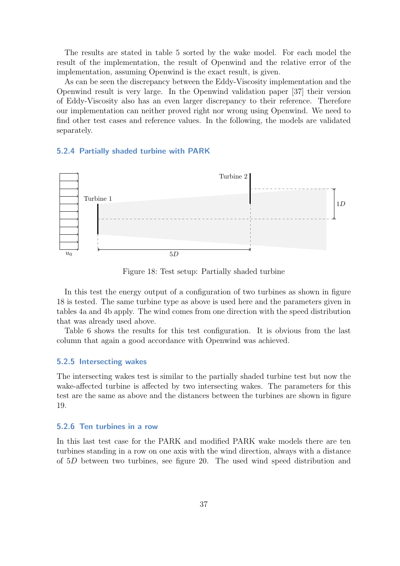The results are stated in table [5](#page-44-2) sorted by the wake model. For each model the result of the implementation, the result of Openwind and the relative error of the implementation, assuming Openwind is the exact result, is given.

As can be seen the discrepancy between the Eddy-Viscosity implementation and the Openwind result is very large. In the Openwind validation paper [\[37\]](#page-56-2) their version of Eddy-Viscosity also has an even larger discrepancy to their reference. Therefore our implementation can neither proved right nor wrong using Openwind. We need to find other test cases and reference values. In the following, the models are validated separately.

#### <span id="page-43-0"></span>5.2.4 Partially shaded turbine with PARK

<span id="page-43-3"></span>

Figure 18: Test setup: Partially shaded turbine

In this test the energy output of a configuration of two turbines as shown in figure [18](#page-43-3) is tested. The same turbine type as above is used here and the parameters given in tables [4a](#page-42-1) and [4b](#page-42-1) apply. The wind comes from one direction with the speed distribution that was already used above.

Table [6](#page-44-2) shows the results for this test configuration. It is obvious from the last column that again a good accordance with Openwind was achieved.

#### <span id="page-43-1"></span>5.2.5 Intersecting wakes

The intersecting wakes test is similar to the partially shaded turbine test but now the wake-affected turbine is affected by two intersecting wakes. The parameters for this test are the same as above and the distances between the turbines are shown in figure [19.](#page-44-0)

#### <span id="page-43-2"></span>5.2.6 Ten turbines in a row

In this last test case for the PARK and modified PARK wake models there are ten turbines standing in a row on one axis with the wind direction, always with a distance of 5D between two turbines, see figure [20.](#page-44-1) The used wind speed distribution and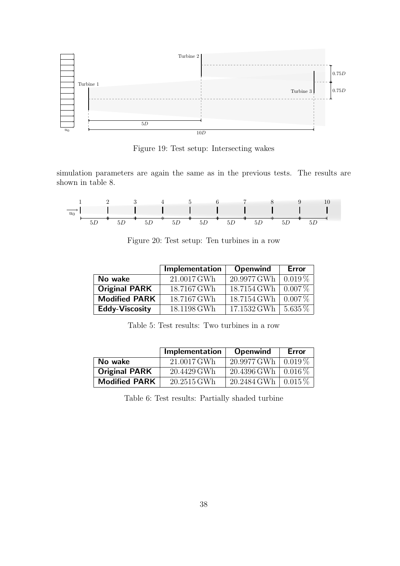<span id="page-44-0"></span>

Figure 19: Test setup: Intersecting wakes

simulation parameters are again the same as in the previous tests. The results are shown in table [8.](#page-45-3)

<span id="page-44-1"></span>

Figure 20: Test setup: Ten turbines in a row

<span id="page-44-2"></span>

|                       | Implementation | <b>Openwind</b> | Error     |
|-----------------------|----------------|-----------------|-----------|
| No wake               | 21.0017 GWh    | 20.9977 GWh     | $0.019\%$ |
| <b>Original PARK</b>  | 18.7167 GWh    | 18.7154 GWh     | $0.007\%$ |
| <b>Modified PARK</b>  | 18.7167 GWh    | 18.7154 GWh     | $0.007\%$ |
| <b>Eddy-Viscosity</b> | 18.1198 GWh    | 17.1532 GWh     | $5.635\%$ |

Table 5: Test results: Two turbines in a row

|                      | Implementation | <b>Openwind</b>                            | <b>Error</b> |
|----------------------|----------------|--------------------------------------------|--------------|
| No wake              | 21.0017 GWh    | $20.9977 \,\mathrm{GWh} \, \mid 0.019\,\%$ |              |
| <b>Original PARK</b> | 20.4429 GWh    | $20.4396$ GWh   $0.016\%$                  |              |
| <b>Modified PARK</b> | $20.2515$ GWh  | $20.2484 \text{ GWh} \cdot 0.015 \%$       |              |

Table 6: Test results: Partially shaded turbine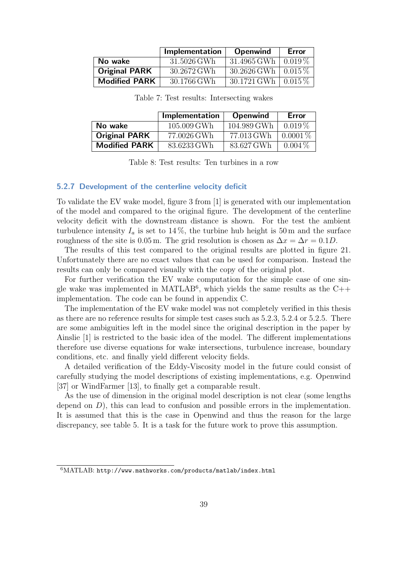<span id="page-45-2"></span>

|                      | Implementation | <b>Openwind</b>         | Error |
|----------------------|----------------|-------------------------|-------|
| No wake              | 31.5026 GWh    | 31.4965 GWh   $0.019\%$ |       |
| <b>Original PARK</b> | 30.2672 GWh    | 30.2626 GWh   $0.015\%$ |       |
| <b>Modified PARK</b> | 30.1766 GWh    | 30.1721 GWh   $0.015\%$ |       |

Table 7: Test results: Intersecting wakes

<span id="page-45-3"></span>

|                      | Implementation | <b>Openwind</b> | Error      |
|----------------------|----------------|-----------------|------------|
| No wake              | $105.009$ GWh  | 104.989 GWh     | $0.019\%$  |
| <b>Original PARK</b> | 77.0026 GWh    | 77.013 GWh      | $0.0001\%$ |
| <b>Modified PARK</b> | 83.6233 GWh    | 83.627 GWh      | $0.004\%$  |

Table 8: Test results: Ten turbines in a row

#### <span id="page-45-0"></span>5.2.7 Development of the centerline velocity deficit

To validate the EV wake model, figure 3 from [\[1\]](#page-54-3) is generated with our implementation of the model and compared to the original figure. The development of the centerline velocity deficit with the downstream distance is shown. For the test the ambient turbulence intensity  $I_a$  is set to 14%, the turbine hub height is 50 m and the surface roughness of the site is 0.05 m. The grid resolution is chosen as  $\Delta x = \Delta r = 0.1D$ .

The results of this test compared to the original results are plotted in figure [21.](#page-46-0) Unfortunately there are no exact values that can be used for comparison. Instead the results can only be compared visually with the copy of the original plot.

For further verification the EV wake computation for the simple case of one sin-gle wake was implemented in MATLAB<sup>[6](#page-45-4)</sup>, which yields the same results as the  $C++$ implementation. The code can be found in appendix C.

The implementation of the EV wake model was not completely verified in this thesis as there are no reference results for simple test cases such as [5.2.3,](#page-42-0) [5.2.4](#page-43-0) or [5.2.5.](#page-43-1) There are some ambiguities left in the model since the original description in the paper by [Ainslie](#page-54-3) [\[1\]](#page-54-3) is restricted to the basic idea of the model. The different implementations therefore use diverse equations for wake intersections, turbulence increase, boundary conditions, etc. and finally yield different velocity fields.

A detailed verification of the Eddy-Viscosity model in the future could consist of carefully studying the model descriptions of existing implementations, e.g. Openwind [\[37\]](#page-56-2) or WindFarmer [\[13\]](#page-54-12), to finally get a comparable result.

As the use of dimension in the original model description is not clear (some lengths depend on  $D$ ), this can lead to confusion and possible errors in the implementation. It is assumed that this is the case in Openwind and thus the reason for the large discrepancy, see table [5.](#page-44-2) It is a task for the future work to prove this assumption.

<span id="page-45-4"></span><span id="page-45-1"></span> $6$ MATLAB: <http://www.mathworks.com/products/matlab/index.html>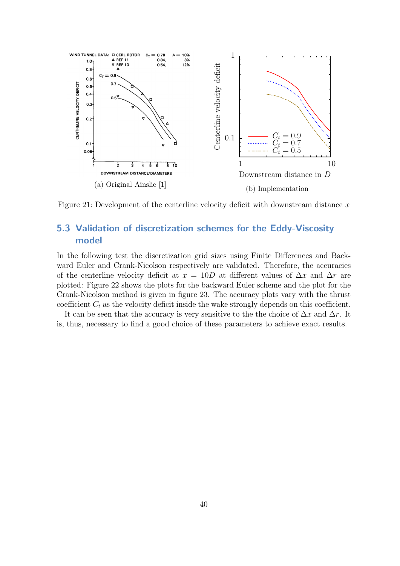<span id="page-46-0"></span>

Figure 21: Development of the centerline velocity deficit with downstream distance  $x$ 

### 5.3 Validation of discretization schemes for the Eddy-Viscosity model

In the following test the discretization grid sizes using Finite Differences and Backward Euler and Crank-Nicolson respectively are validated. Therefore, the accuracies of the centerline velocity deficit at  $x = 10D$  at different values of  $\Delta x$  and  $\Delta r$  are plotted: Figure [22](#page-47-0) shows the plots for the backward Euler scheme and the plot for the Crank-Nicolson method is given in figure [23.](#page-48-0) The accuracy plots vary with the thrust coefficient  $C_t$  as the velocity deficit inside the wake strongly depends on this coefficient.

It can be seen that the accuracy is very sensitive to the the choice of  $\Delta x$  and  $\Delta r$ . It is, thus, necessary to find a good choice of these parameters to achieve exact results.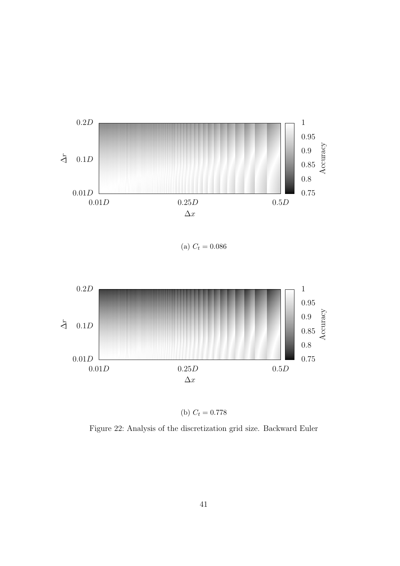<span id="page-47-0"></span>

(a)  $C_t = 0.086$ 



(b)  $C_t = 0.778$ 

Figure 22: Analysis of the discretization grid size. Backward Euler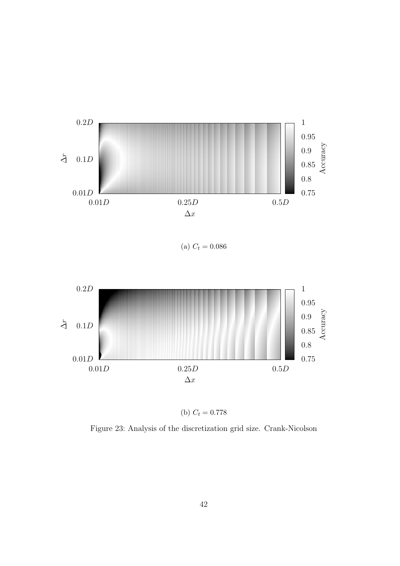<span id="page-48-0"></span>

(a)  $C_t = 0.086$ 



(b)  $C_t = 0.778$ 

Figure 23: Analysis of the discretization grid size. Crank-Nicolson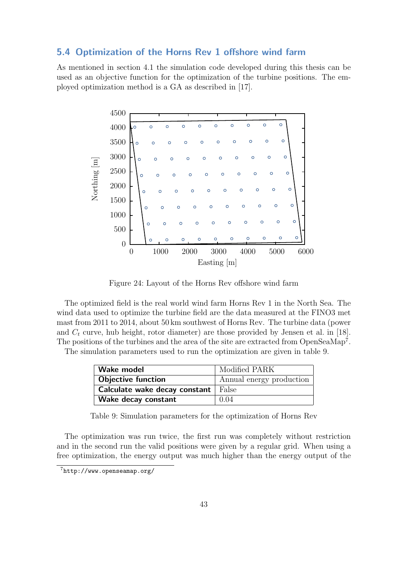#### <span id="page-49-0"></span>5.4 Optimization of the Horns Rev 1 offshore wind farm

As mentioned in section [4.1](#page-36-1) the simulation code developed during this thesis can be used as an objective function for the optimization of the turbine positions. The employed optimization method is a GA as described in [\[17\]](#page-55-8).

<span id="page-49-1"></span>

Figure 24: Layout of the Horns Rev offshore wind farm

The optimized field is the real world wind farm Horns Rev 1 in the North Sea. The wind data used to optimize the turbine field are the data measured at the FINO3 met mast from 2011 to 2014, about 50 km southwest of Horns Rev. The turbine data (power and  $C_t$  curve, hub height, rotor diameter) are those provided by [Jensen et al.](#page-55-13) in [\[18\]](#page-55-13). The positions of the turbines and the area of the site are extracted from OpenSeaMap<sup>[7](#page-49-3)</sup>.

<span id="page-49-2"></span>The simulation parameters used to run the optimization are given in table [9.](#page-49-2)

| Wake model                            | Modified PARK            |
|---------------------------------------|--------------------------|
| <b>Objective function</b>             | Annual energy production |
| Calculate wake decay constant   False |                          |
| Wake decay constant                   | 0.04                     |

Table 9: Simulation parameters for the optimization of Horns Rev

The optimization was run twice, the first run was completely without restriction and in the second run the valid positions were given by a regular grid. When using a free optimization, the energy output was much higher than the energy output of the

<span id="page-49-3"></span><sup>7</sup><http://www.openseamap.org/>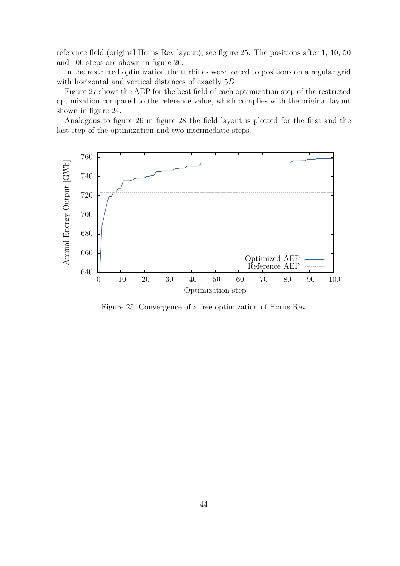reference field (original Horns Rev layout), see figure [25.](#page-50-0) The positions after 1, 10, 50 and 100 steps are shown in figure [26.](#page-51-0)

In the restricted optimization the turbines were forced to positions on a regular grid with horizontal and vertical distances of exactly 5D.

Figure [27](#page-51-1) shows the AEP for the best field of each optimization step of the restricted optimization compared to the reference value, which complies with the original layout shown in figure [24.](#page-49-1)

Analogous to figure [26](#page-51-0) in figure [28](#page-52-0) the field layout is plotted for the first and the last step of the optimization and two intermediate steps.

<span id="page-50-0"></span>

Figure 25: Convergence of a free optimization of Horns Rev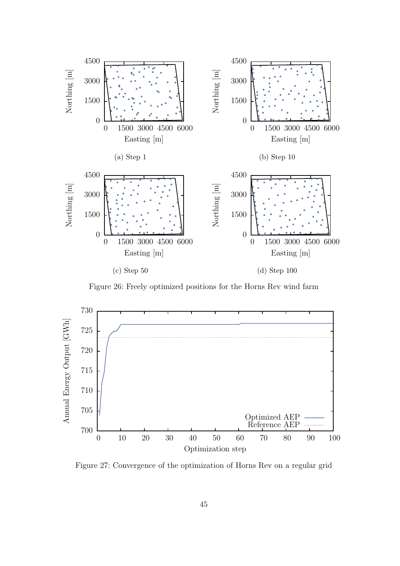<span id="page-51-0"></span>

Figure 26: Freely optimized positions for the Horns Rev wind farm

<span id="page-51-1"></span>

Figure 27: Convergence of the optimization of Horns Rev on a regular grid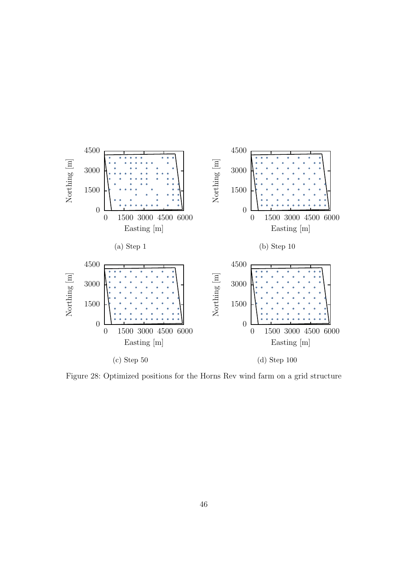<span id="page-52-0"></span>

Figure 28: Optimized positions for the Horns Rev wind farm on a grid structure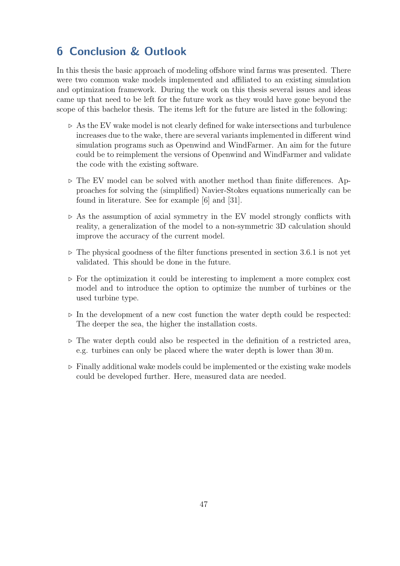## <span id="page-53-0"></span>6 Conclusion & Outlook

In this thesis the basic approach of modeling offshore wind farms was presented. There were two common wake models implemented and affiliated to an existing simulation and optimization framework. During the work on this thesis several issues and ideas came up that need to be left for the future work as they would have gone beyond the scope of this bachelor thesis. The items left for the future are listed in the following:

- $\triangleright$  As the EV wake model is not clearly defined for wake intersections and turbulence increases due to the wake, there are several variants implemented in different wind simulation programs such as Openwind and WindFarmer. An aim for the future could be to reimplement the versions of Openwind and WindFarmer and validate the code with the existing software.
- $\triangleright$  The EV model can be solved with another method than finite differences. Approaches for solving the (simplified) Navier-Stokes equations numerically can be found in literature. See for example [\[6\]](#page-54-14) and [\[31\]](#page-56-12).
- $\triangleright$  As the assumption of axial symmetry in the EV model strongly conflicts with reality, a generalization of the model to a non-symmetric 3D calculation should improve the accuracy of the current model.
- $\triangleright$  The physical goodness of the filter functions presented in section [3.6.1](#page-25-0) is not yet validated. This should be done in the future.
- $\triangleright$  For the optimization it could be interesting to implement a more complex cost model and to introduce the option to optimize the number of turbines or the used turbine type.
- $\triangleright$  In the development of a new cost function the water depth could be respected: The deeper the sea, the higher the installation costs.
- $\triangleright$  The water depth could also be respected in the definition of a restricted area, e.g. turbines can only be placed where the water depth is lower than 30 m.
- $\triangleright$  Finally additional wake models could be implemented or the existing wake models could be developed further. Here, measured data are needed.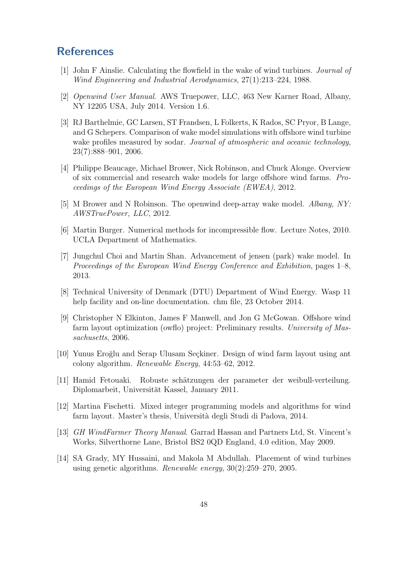## <span id="page-54-0"></span>**References**

- <span id="page-54-3"></span>[1] John F Ainslie. Calculating the flowfield in the wake of wind turbines. Journal of Wind Engineering and Industrial Aerodynamics, 27(1):213–224, 1988.
- <span id="page-54-13"></span>[2] Openwind User Manual. AWS Truepower, LLC, 463 New Karner Road, Albany, NY 12205 USA, July 2014. Version 1.6.
- <span id="page-54-1"></span>[3] RJ Barthelmie, GC Larsen, ST Frandsen, L Folkerts, K Rados, SC Pryor, B Lange, and G Schepers. Comparison of wake model simulations with offshore wind turbine wake profiles measured by sodar. Journal of atmospheric and oceanic technology, 23(7):888–901, 2006.
- <span id="page-54-2"></span>[4] Philippe Beaucage, Michael Brower, Nick Robinson, and Chuck Alonge. Overview of six commercial and research wake models for large offshore wind farms. Proceedings of the European Wind Energy Associate (EWEA), 2012.
- <span id="page-54-4"></span>[5] M Brower and N Robinson. The openwind deep-array wake model. Albany, NY: AWSTruePower, LLC, 2012.
- <span id="page-54-14"></span>[6] Martin Burger. Numerical methods for incompressible flow. Lecture Notes, 2010. UCLA Department of Mathematics.
- <span id="page-54-11"></span>[7] Jungchul Choi and Martin Shan. Advancement of jensen (park) wake model. In Proceedings of the European Wind Energy Conference and Exhibition, pages 1–8, 2013.
- <span id="page-54-8"></span>[8] Technical University of Denmark (DTU) Department of Wind Energy. Wasp 11 help facility and on-line documentation. chm file, 23 October 2014.
- <span id="page-54-6"></span>[9] Christopher N Elkinton, James F Manwell, and Jon G McGowan. Offshore wind farm layout optimization (owflo) project: Preliminary results. University of Massachusetts, 2006.
- <span id="page-54-7"></span>[10] Yunus Eroğlu and Serap Ulusam Seçkiner. Design of wind farm layout using ant colony algorithm. Renewable Energy, 44:53–62, 2012.
- <span id="page-54-9"></span>[11] Hamid Fetouaki. Robuste schätzungen der parameter der weibull-verteilung. Diplomarbeit, Universität Kassel, January 2011.
- <span id="page-54-10"></span>[12] Martina Fischetti. Mixed integer programming models and algorithms for wind farm layout. Master's thesis, Universit`a degli Studi di Padova, 2014.
- <span id="page-54-12"></span>[13] GH WindFarmer Theory Manual. Garrad Hassan and Partners Ltd, St. Vincent's Works, Silverthorne Lane, Bristol BS2 0QD England, 4.0 edition, May 2009.
- <span id="page-54-5"></span>[14] SA Grady, MY Hussaini, and Makola M Abdullah. Placement of wind turbines using genetic algorithms. Renewable energy, 30(2):259–270, 2005.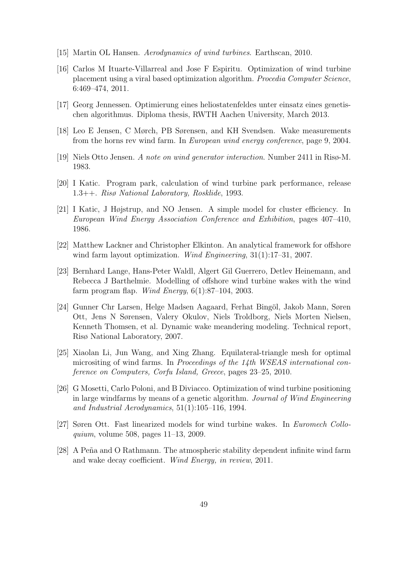- <span id="page-55-10"></span>[15] Martin OL Hansen. Aerodynamics of wind turbines. Earthscan, 2010.
- <span id="page-55-9"></span>[16] Carlos M Ituarte-Villarreal and Jose F Espiritu. Optimization of wind turbine placement using a viral based optimization algorithm. Procedia Computer Science, 6:469–474, 2011.
- <span id="page-55-8"></span>[17] Georg Jennessen. Optimierung eines heliostatenfeldes unter einsatz eines genetischen algorithmus. Diploma thesis, RWTH Aachen University, March 2013.
- <span id="page-55-13"></span>[18] Leo E Jensen, C Mørch, PB Sørensen, and KH Svendsen. Wake measurements from the horns rev wind farm. In European wind energy conference, page 9, 2004.
- <span id="page-55-0"></span>[19] Niels Otto Jensen. A note on wind generator interaction. Number 2411 in Risø-M. 1983.
- <span id="page-55-2"></span>[20] I Katic. Program park, calculation of wind turbine park performance, release 1.3++. Risø National Laboratory, Rosklide, 1993.
- <span id="page-55-1"></span>[21] I Katic, J Højstrup, and NO Jensen. A simple model for cluster efficiency. In European Wind Energy Association Conference and Exhibition, pages 407–410, 1986.
- <span id="page-55-12"></span>[22] Matthew Lackner and Christopher Elkinton. An analytical framework for offshore wind farm layout optimization. *Wind Engineering*, 31(1):17–31, 2007.
- <span id="page-55-3"></span>[23] Bernhard Lange, Hans-Peter Waldl, Algert Gil Guerrero, Detlev Heinemann, and Rebecca J Barthelmie. Modelling of offshore wind turbine wakes with the wind farm program flap. Wind Energy,  $6(1):87-104$ , 2003.
- <span id="page-55-4"></span>[24] Gunner Chr Larsen, Helge Madsen Aagaard, Ferhat Bingöl, Jakob Mann, Søren Ott, Jens N Sørensen, Valery Okulov, Niels Troldborg, Niels Morten Nielsen, Kenneth Thomsen, et al. Dynamic wake meandering modeling. Technical report, Risø National Laboratory, 2007.
- <span id="page-55-7"></span>[25] Xiaolan Li, Jun Wang, and Xing Zhang. Equilateral-triangle mesh for optimal micrositing of wind farms. In Proceedings of the 14th WSEAS international conference on Computers, Corfu Island, Greece, pages 23–25, 2010.
- <span id="page-55-6"></span>[26] G Mosetti, Carlo Poloni, and B Diviacco. Optimization of wind turbine positioning in large windfarms by means of a genetic algorithm. Journal of Wind Engineering and Industrial Aerodynamics, 51(1):105–116, 1994.
- <span id="page-55-5"></span>[27] Søren Ott. Fast linearized models for wind turbine wakes. In Euromech Colloquium, volume 508, pages 11–13, 2009.
- <span id="page-55-11"></span>[28] A Peña and O Rathmann. The atmospheric stability dependent infinite wind farm and wake decay coefficient. Wind Energy, in review, 2011.